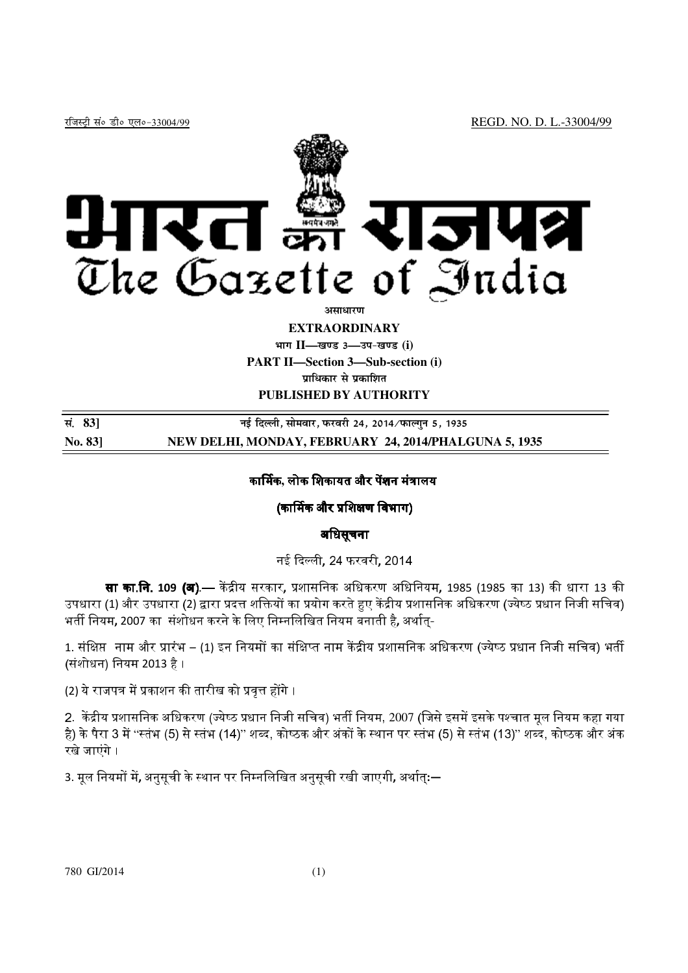

**असाधारण** 

#### **EXTRAORDINARY**

**Hkkx II—[k.M 3—mi&[k.M (i)** 

**PART II—Section 3—Sub-section (i)** 

**प्राधिकार से प्रकाशित** 

**PUBLISHED BY AUTHORITY** 

| सं. 83]       | नई दिल्ली, सोमवार, फरवरी 24, 2014 ∕ फाल्गुन 5, 1935   |
|---------------|-------------------------------------------------------|
| <b>No. 83</b> | NEW DELHI, MONDAY, FEBRUARY 24, 2014/PHALGUNA 5, 1935 |

# कार्मिक, लोक शिकायत और पेंशन मंत्रालय<sup>.</sup>

# (कार्मिक और प्रशिक्षण विभाग)

# अिधसूचना

नई दिल्ली**,** 24 फरवरी**,** 2014

**सा का.नि. 109 (अ).**— केंद्रीय सरकार, प्रशासनिक अधिकरण अधिनियम, 1985 (1985 का 13) की धारा 13 की उपधारा (1) और उपधारा (2) द्वारा प्रदत्त शक्तियों का प्रयोग करते हुए केंद्रीय प्रशासनिक अधिकरण (ज्येष्ठ प्रधान निजी सचिव) भर्ती नियम, 2007 का संशोधन करने के लिए निम्नलिखित नियम बनाती है, अर्थात-

1. संक्षिप्त नाम और प्रारंभ – (1) इन नियमों का संक्षिप्त नाम केंद्रीय प्रशासनिक अधिकरण (ज्येष्ठ प्रधान निजी सचिव) भर्ती (संशोधन) िनयम 2013 है ।

(2) ये राजपत्र में प्रकाशन की तारीख को प्रवृत्त होंगे ।

2. केंद्रीय प्रशासनिक अधिकरण (ज्येष्ठ प्रधान निजी सचिव) भर्ती नियम, 2007 (जिसे इसमें इसके पश्चात मूल नियम कहा गया है) के पैरा 3 में ''स्तंभ (5) से स्तंभ (14)'' शब्द, कोष्ठक और अंकों के स्थान पर स्तंभ (5) से स्तंभ (13)'' शब्द, कोष्ठक और अंक रखे जाएंगे ।

3. मूल नियमों में, अनुसूची के स्थान पर निम्नलिखित अनुसूची रखी जाएगी, अर्थात<mark>्:</del>—</mark>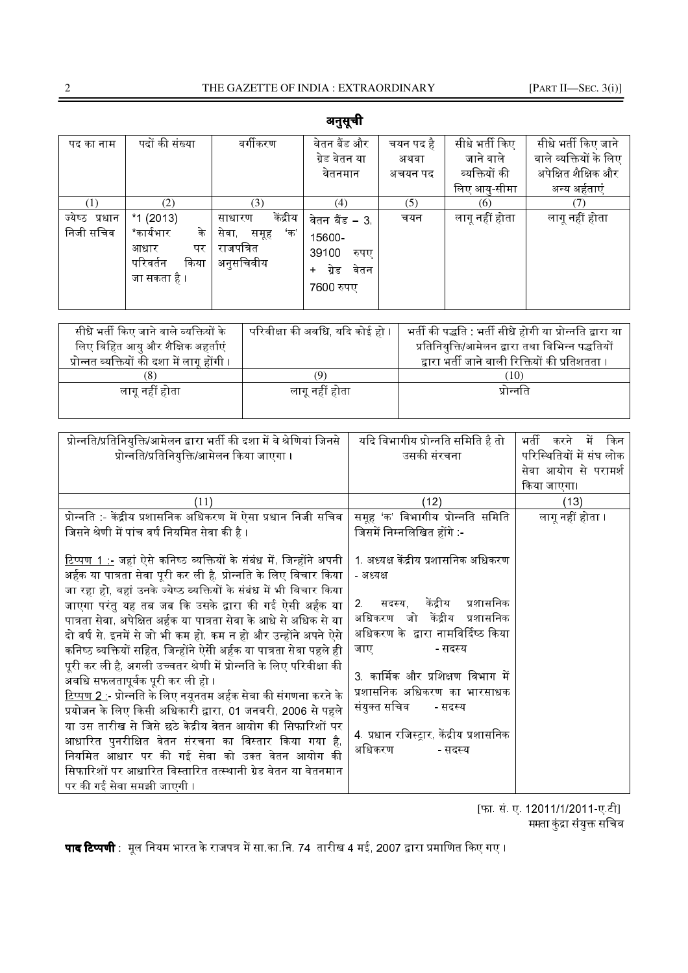| पद का नाम      | पदों की संख्या   | वर्गीकरण            | वेतन बैंड और            | चयन पद है | सीधे भर्ती किए | सीधे भर्ती किए जाने    |
|----------------|------------------|---------------------|-------------------------|-----------|----------------|------------------------|
|                |                  |                     | ग्रेड वेतन या           | अथवा      | जाने वाले      | वाले व्यक्तियों के लिए |
|                |                  |                     | वेतनमान                 | अचयन पद   | व्यक्तियों की  | अपेक्षित शैक्षिक और    |
|                |                  |                     |                         |           | लिए आयु-सीमा   | अन्य अर्हताएं          |
|                | (2)              | (3)                 | (4)                     | (5)       | (6)            |                        |
| ज्येष्ठ प्रधान | $*1(2013)$       | केंद्रीय<br>साधारण  | वेतन बैंड – 3.          | चयन       | लागू नहीं होता | लागू नहीं होता         |
| निजी सचिव      | *कार्यभार<br>के  | सेवा<br>'क'<br>समूह | 15600-                  |           |                |                        |
|                | आधार<br>पर       | राजपत्रित           | 39100<br>रुपए           |           |                |                        |
|                | परिवर्तन<br>किया | अनुसचिवीय           | वेतन<br>ग्रेड<br>$\div$ |           |                |                        |
|                | जा सकता है ।     |                     | 7600 रुपए               |           |                |                        |

अनुसूची

|                                   |                                             |               |  | 7600 रुपए                                        |  |           |     |                                                          |  |
|-----------------------------------|---------------------------------------------|---------------|--|--------------------------------------------------|--|-----------|-----|----------------------------------------------------------|--|
|                                   |                                             |               |  |                                                  |  |           |     |                                                          |  |
|                                   | सीधे भर्ती किए जाने वाले व्यक्तियों के      |               |  | परिवीक्षा की अवधि, यदि कोई हो ।                  |  |           |     | भर्ती की पद्धति : भर्ती सीधे होगी या प्रोन्नति द्वारा या |  |
| लिए विहित आयु और शैक्षिक अहर्ताएं |                                             |               |  | प्रतिनियुक्ति/आमेलन द्वारा तथा विभिन्न पद्धतियों |  |           |     |                                                          |  |
|                                   | प्रोन्नत व्यक्तियों की दशा में लागू होंगी । |               |  |                                                  |  |           |     | द्वारा भर्ती जाने वाली रिक्तियों की प्रतिशतता ।          |  |
|                                   |                                             |               |  | (Q)                                              |  |           | 10) |                                                          |  |
| लाग नहीं होता                     |                                             | लाग नहीं होता |  |                                                  |  | प्रोन्नोत |     |                                                          |  |

| प्रोन्नति/प्रतिनियुक्ति/आमेलन द्वारा भर्ती की दशा में वे श्रेणियां जिनसे   | यदि विभागीय प्रोन्नति समिति है तो        | करने में<br>किन<br>भर्ती |
|----------------------------------------------------------------------------|------------------------------------------|--------------------------|
| प्रोन्नति/प्रतिनियुक्ति/आमेलन किया जाएगा ।                                 | उसकी संरचना                              | परिस्थितियों में संघ लोक |
|                                                                            |                                          | सेवा आयोग से परामर्श     |
|                                                                            |                                          | किया जाएगा।              |
| (11)                                                                       | (12)                                     | (13)                     |
| प्रोन्नति :- केंद्रीय प्रशासनिक अधिकरण में ऐसा प्रधान निजी सचिव            | समूह 'क' विभागीय प्रोन्नति समिति         | लागू नहीं होता ।         |
| जिसने श्रेणी में पांच वर्ष नियमित सेवा की है ।                             | जिसमें निम्नलिखित होंगे                  |                          |
|                                                                            |                                          |                          |
| <u>टिप्पण 1 :-</u> जहां ऐसे कनिष्ठ व्यक्तियों के संबंध में, जिन्होंने अपनी | 1. अध्यक्ष केंद्रीय प्रशासनिक अधिकरण     |                          |
| अर्हक या पात्रता सेवा पूरी कर ली है, प्रोन्नति के लिए विचार किया           | - अध्यक्ष                                |                          |
| जा रहा हो, वहां उनके ज्येष्ठ व्यक्तियों के संबंध में भी विचार किया         |                                          |                          |
| जाएगा परंतु यह तब जब कि उसके द्वारा की गई ऐसी अर्हक या                     | केंद्रीय प्रशासनिक<br>सदस्य.<br>$2 -$    |                          |
| पात्रता सेवा, अपेक्षित अर्हक या पात्रता सेवा के आधे से अधिक से या          | जो केंद्रीय प्रशासनिक<br>अधिकरण          |                          |
| दो वर्ष से, इनमें से जो भी कम हो, कम न हो और उन्होंने अपने ऐसे             | अधिकरण के  द्वारा नामविर्दिष्ठ किया      |                          |
| कनिष्ठ व्यक्तियों सहित, जिन्होंने ऐसीे अर्हक या पात्रता सेवा पहले ही       | जाए<br>- सदस्य                           |                          |
| पूरी कर ली है, अगली उच्चतर श्रेणी में प्रोन्नति के लिए परिवीक्षा की        |                                          |                          |
| अवधि सफलतापूर्वक पूरी कर ली हो ।                                           | 3. कार्मिक और प्रशिक्षण विभाग में        |                          |
| <u>टिप्पण 2 :</u> - प्रोन्नति के लिए नयूनतम अर्हक सेवा की संगणना करने के   | प्रशासनिक अधिकरण का भारसाधक              |                          |
| प्रयोजन के लिए किसी अधिकारी द्वारा, 01 जनवरी, 2006 से पहले                 | संयुक्त सचिव<br>- सदस्य                  |                          |
| या उस तारीख से जिसे छठे केद्रीय वेतन आयोग की सिफारिशों पर                  |                                          |                          |
| आधारित पुनरीक्षित वेतन संरचना का विस्तार किया गया है,                      | 4. प्रधान रजिस्ट्रार, केंद्रीय प्रशासनिक |                          |
| नियमित आधार पर की गई सेवा को उक्त वेतन आयोग की                             | अधिकरण<br>- सदस्य                        |                          |
| सिफारिशों पर आधारित विस्तारित तत्स्थानी ग्रेड वेतन या वेतनमान              |                                          |                          |
| पर की गई सेवा समझी जाएगी ।                                                 |                                          |                          |

[फा. सं. ए. 12011/1/2011-ए.टी] ममता कंद्रा संयक्त सचिव

-णी : 83" 8!18/.का.िन. 74 तारीख 4 मई, 2007 <-8 ।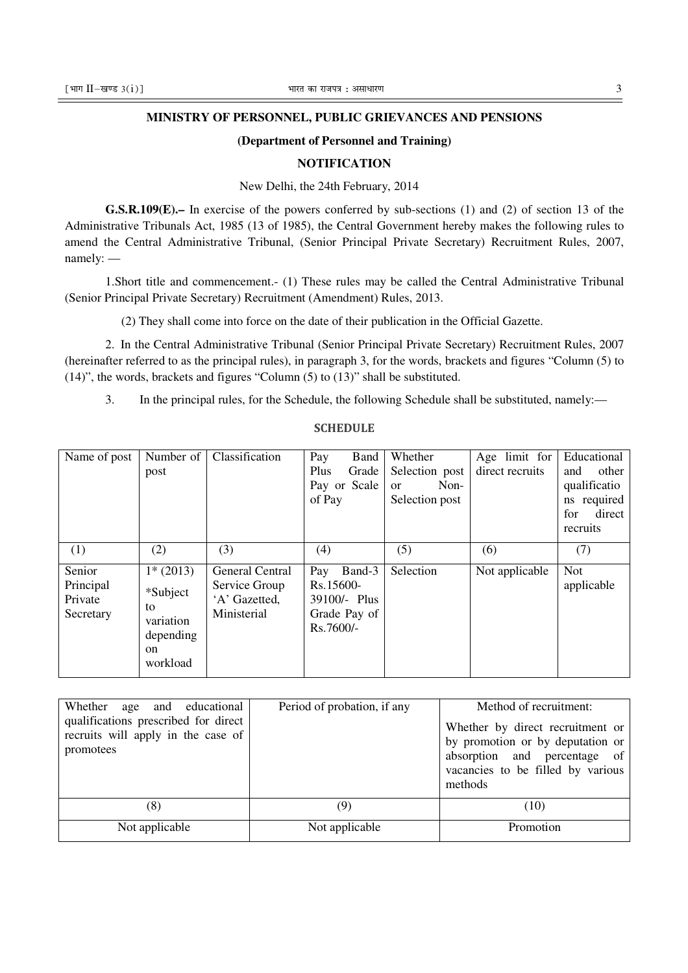#### **MINISTRY OF PERSONNEL, PUBLIC GRIEVANCES AND PENSIONS**

#### **(Department of Personnel and Training)**

#### **NOTIFICATION**

New Delhi, the 24th February, 2014

**G.S.R.109(E).–** In exercise of the powers conferred by sub-sections (1) and (2) of section 13 of the Administrative Tribunals Act, 1985 (13 of 1985), the Central Government hereby makes the following rules to amend the Central Administrative Tribunal, (Senior Principal Private Secretary) Recruitment Rules, 2007, namely: —

1.Short title and commencement.- (1) These rules may be called the Central Administrative Tribunal (Senior Principal Private Secretary) Recruitment (Amendment) Rules, 2013.

(2) They shall come into force on the date of their publication in the Official Gazette.

2. In the Central Administrative Tribunal (Senior Principal Private Secretary) Recruitment Rules, 2007 (hereinafter referred to as the principal rules), in paragraph 3, for the words, brackets and figures "Column (5) to (14)", the words, brackets and figures "Column (5) to (13)" shall be substituted.

3. In the principal rules, for the Schedule, the following Schedule shall be substituted, namely:—

| Name of post                      | Number of                                                  | Classification                                | Pay<br>Band                                            | Whether               | Age limit for   | Educational                |
|-----------------------------------|------------------------------------------------------------|-----------------------------------------------|--------------------------------------------------------|-----------------------|-----------------|----------------------------|
|                                   | post                                                       |                                               | Plus<br>Grade                                          | Selection post        | direct recruits | other<br>and               |
|                                   |                                                            |                                               | Pay or Scale                                           | Non-<br><sub>or</sub> |                 | qualificatio               |
|                                   |                                                            |                                               | of Pay                                                 | Selection post        |                 | required<br>$\mathbf{n}$ s |
|                                   |                                                            |                                               |                                                        |                       |                 | for<br>direct              |
|                                   |                                                            |                                               |                                                        |                       |                 | recruits                   |
| (1)                               | (2)                                                        | (3)                                           | (4)                                                    | (5)                   | (6)             | (7)                        |
| Senior                            | $1*$ (2013)                                                | <b>General Central</b>                        | Band-3<br>Pay                                          | Selection             | Not applicable  | <b>Not</b>                 |
| Principal<br>Private<br>Secretary | *Subject<br>to<br>variation<br>depending<br>on<br>workload | Service Group<br>'A' Gazetted,<br>Ministerial | Rs.15600-<br>39100/- Plus<br>Grade Pay of<br>Rs.7600/- |                       |                 | applicable                 |

**SCHEDULE** 

| Whether age and educational<br>qualifications prescribed for direct<br>recruits will apply in the case of<br>promotees | Period of probation, if any | Method of recruitment:<br>Whether by direct recruitment or<br>by promotion or by deputation or<br>absorption and percentage of<br>vacancies to be filled by various<br>methods |
|------------------------------------------------------------------------------------------------------------------------|-----------------------------|--------------------------------------------------------------------------------------------------------------------------------------------------------------------------------|
| (8)                                                                                                                    | (9)                         | (10)                                                                                                                                                                           |
| Not applicable                                                                                                         | Not applicable              | Promotion                                                                                                                                                                      |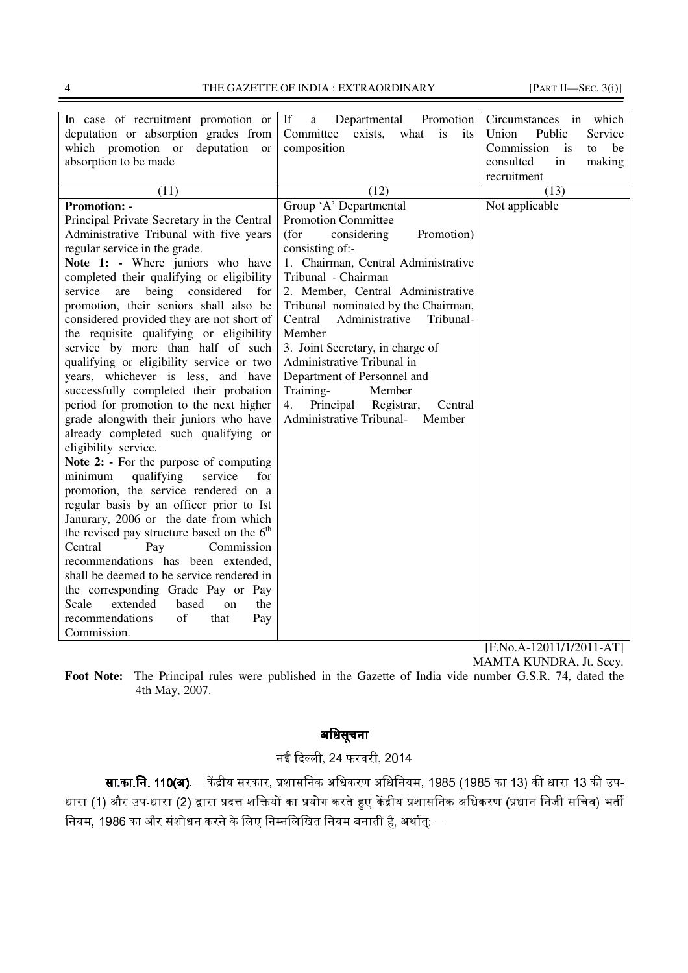4 THE GAZETTE OF INDIA : EXTRAORDINARY [PART II—SEC. 3(i)]

| In case of recruitment promotion or           | If<br>Departmental<br>Promotion<br>a      | Circumstances<br>in<br>which |
|-----------------------------------------------|-------------------------------------------|------------------------------|
| deputation or absorption grades from          | Committee<br>exists,<br>what<br>is<br>its | Public<br>Union<br>Service   |
| which promotion or<br>deputation<br><b>or</b> | composition                               | Commission<br>is<br>to<br>be |
| absorption to be made                         |                                           | consulted<br>in<br>making    |
|                                               |                                           | recruitment                  |
| (11)                                          | (12)                                      | (13)                         |
| <b>Promotion: -</b>                           | Group 'A' Departmental                    | Not applicable               |
| Principal Private Secretary in the Central    | <b>Promotion Committee</b>                |                              |
| Administrative Tribunal with five years       | (for<br>Promotion)<br>considering         |                              |
| regular service in the grade.                 | consisting of:-                           |                              |
| Note 1: - Where juniors who have              | 1. Chairman, Central Administrative       |                              |
| completed their qualifying or eligibility     | Tribunal - Chairman                       |                              |
| being considered<br>service<br>are<br>for     | 2. Member, Central Administrative         |                              |
| promotion, their seniors shall also be        | Tribunal nominated by the Chairman,       |                              |
| considered provided they are not short of     | Tribunal-<br>Central<br>Administrative    |                              |
| the requisite qualifying or eligibility       | Member                                    |                              |
| service by more than half of such             | 3. Joint Secretary, in charge of          |                              |
| qualifying or eligibility service or two      | Administrative Tribunal in                |                              |
| years, whichever is less, and have            | Department of Personnel and               |                              |
| successfully completed their probation        | Training-<br>Member                       |                              |
| period for promotion to the next higher       | 4.<br>Principal<br>Registrar,<br>Central  |                              |
| grade alongwith their juniors who have        | <b>Administrative Tribunal-</b><br>Member |                              |
| already completed such qualifying or          |                                           |                              |
| eligibility service.                          |                                           |                              |
| Note 2: - For the purpose of computing        |                                           |                              |
| qualifying<br>service<br>for<br>minimum       |                                           |                              |
| promotion, the service rendered on a          |                                           |                              |
| regular basis by an officer prior to Ist      |                                           |                              |
| Janurary, 2006 or the date from which         |                                           |                              |
| the revised pay structure based on the $6th$  |                                           |                              |
| Pay<br>Commission<br>Central                  |                                           |                              |
| recommendations has been extended,            |                                           |                              |
| shall be deemed to be service rendered in     |                                           |                              |
| the corresponding Grade Pay or Pay            |                                           |                              |
| extended<br>based<br>the<br>Scale<br>$\Omega$ |                                           |                              |
| recommendations<br>of<br>that<br>Pay          |                                           |                              |
| Commission.                                   |                                           |                              |

[F.No.A-12011/1/2011-AT] MAMTA KUNDRA, Jt. Secy.

**Foot Note:** The Principal rules were published in the Gazette of India vide number G.S.R. 74, dated the 4th May, 2007.

# अिधसूचना

नई दिल्ली, 24 फरवरी, 2014

**सा.का.नि. 110(अ)** — केंद्रीय सरकार, प्रशासनिक अधिकरण अधिनियम, 1985 (1985 का 13) की धारा 13 की उप-धारा (1) और उप-धारा (2) द्वारा प्रदत्त शक्तियों का प्रयोग करते हुए केंद्रीय प्रशासनिक अधिकरण (प्रधान निजी सचिव) भर्ती नियम, 1986 का और संशोधन करने के लिए निम्नलिखित नियम बनाती है, अर्थात्ः—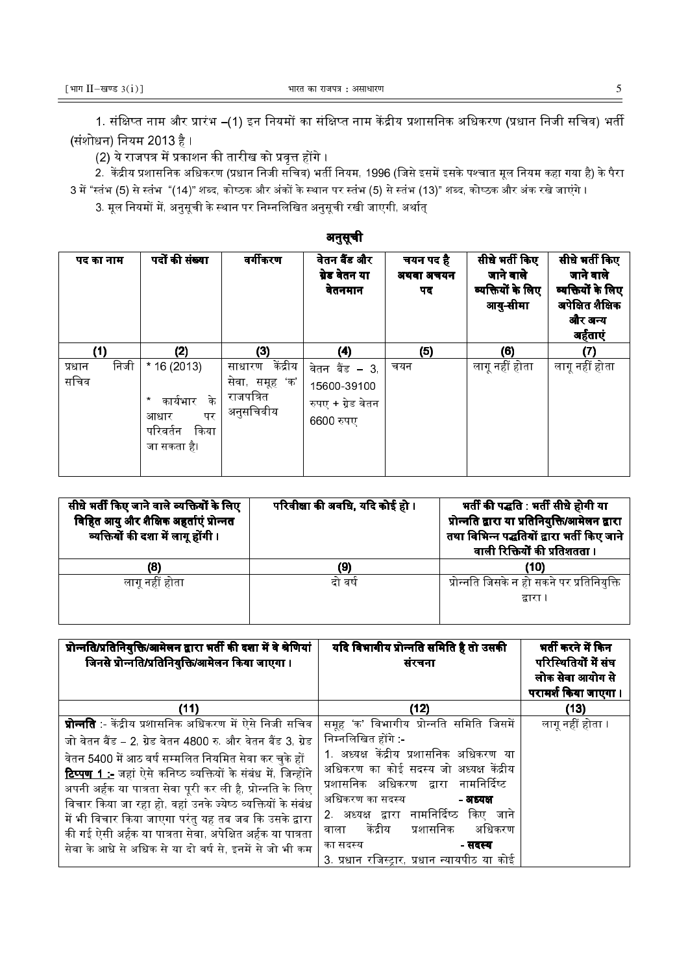1. संक्षिप्त नाम और प्रारंभ –(1) इन नियमों का संक्षिप्त नाम केंद्रीय प्रशासनिक अधिकरण (प्रधान निजी सचिव) भर्ती (संशोधन) नियम 2013 है ।

(2) ये राजपत्र में प्रकाशन की तारीख को प्रवत्त होंगे ।

2. केंद्रीय प्रशासनिक अधिकरण (प्रधान निजी सचिव) भर्ती नियम. 1996 (जिसे इसमें इसके पश्चात मल नियम कहा गया है) के पैरा 3 में "स्तंभ (5) से स्तंभ "(14)" शब्द, कोष्ठक और अंकों के स्थान पर स्तंभ (5) से स्तंभ (13)" शब्द, कोष्ठक और अंक रखे जाएंगे ।

अनसची

3. मल नियमों में. अनसची के स्थान पर निम्नलिखित अनसची रखी जाएगी. अर्थात .

|                        | - 33                                                                           |                                                                |                                                                |                              |                                                              |                                                                                             |  |  |  |
|------------------------|--------------------------------------------------------------------------------|----------------------------------------------------------------|----------------------------------------------------------------|------------------------------|--------------------------------------------------------------|---------------------------------------------------------------------------------------------|--|--|--|
| पद का नाम              | पदों की संख्या                                                                 | वर्गीकरण                                                       | वेतन बैंड और<br>ग्रेड वेतन या<br>वेतनमान                       | चयन पद है<br>अथवा अचयन<br>पद | सीधे भर्ती किए<br>जाने वाले<br>व्यक्तियों के लिए<br>आयु-सीमा | सीधे भर्ती किए<br>जाने वाले<br>व्यक्तियों के लिए<br>अपेक्षित शैक्षिक<br>और अन्य<br>अर्हताएं |  |  |  |
| (1)                    | (2)                                                                            | (3)                                                            | (4)                                                            | (5)                          | (6)                                                          | (7)                                                                                         |  |  |  |
| निजी<br>प्रधान<br>सचिव | $*16(2013)$<br>के<br>कार्यभार<br>पर<br>आधार<br>किया<br>परिवर्तन<br>जा सकता है। | केंद्रीय<br>साधारण<br>सेवा, समूह 'क'<br>राजपत्रित<br>अनुसचिवीय | वेतन बैंड – 3<br>15600-39100<br>रुपए + ग्रेड वेतन<br>6600 रुपए | चयन                          | लागू नहीं होता                                               | लागू नहीं होता                                                                              |  |  |  |

| सीधे भर्ती किए जाने वाले व्यक्तियों के लिए<br>विहित आयु और शैक्षिक अहर्ताएं प्रोन्नत<br>व्यक्तियों की दशा में लागू होंगी। | परिवीक्षा की अवधि, यदि कोई हो। | भर्ती की पद्धति : भर्ती सीधे होगी या<br>प्रोन्नति द्वारा या प्रतिनियुक्ति/आमेलन द्वारा<br>तथा विभिन्न पद्धतियों द्वारा भर्ती किए जाने<br>वाली रिक्तियों की प्रतिशतता । |
|---------------------------------------------------------------------------------------------------------------------------|--------------------------------|------------------------------------------------------------------------------------------------------------------------------------------------------------------------|
| (8)                                                                                                                       | (9)                            | (10)                                                                                                                                                                   |
| लागू नहीं होता                                                                                                            | दो वर्ष                        | प्रोन्नति जिसके न हो सकने पर प्रतिनियुक्ति                                                                                                                             |
|                                                                                                                           |                                | द्वारा                                                                                                                                                                 |
|                                                                                                                           |                                |                                                                                                                                                                        |

| प्रोन्नति/प्रतिनियुक्ति/आमेलन द्वारा भर्ती की दशा में वे श्रेणियां<br>जिनसे प्रोन्नति/प्रतिनियुक्ति/आमेलन किया जाएगा। | यदि विभागीय प्रोन्नति समिति है तो उसकी<br>संरचना | भर्ती करने में किन<br>परिस्थितियों में संघ<br>लोक सेवा आयोग से<br>परामर्श किया जाएगा । |
|-----------------------------------------------------------------------------------------------------------------------|--------------------------------------------------|----------------------------------------------------------------------------------------|
| (11)                                                                                                                  | (12)                                             | (13)                                                                                   |
| <b>प्रोन्नति</b> :- केंद्रीय प्रशासनिक अधिकरण में ऐसे निजी सचिव                                                       | समूह 'क' विभागीय प्रोन्नति समिति जिसमें          | लागू नहीं होता ।                                                                       |
| जो वेतन बैंड – 2. ग्रेड वेतन 4800 रु. और वेतन बैंड 3. ग्रेड                                                           | निम्नलिखित होंगे                                 |                                                                                        |
| वेतन 5400 में आठ वर्ष सम्मलित नियमित सेवा कर चुके हों                                                                 | 1. अध्यक्ष केंद्रीय प्रशासनिक अधिकरण या          |                                                                                        |
| <mark>टिप्पण 1 :-</mark> जहां ऐसे कनिष्ठ व्यक्तियों के संबंध में, जिन्होंने                                           | अधिकरण का कोई सदस्य जो अध्यक्ष केंद्रीय          |                                                                                        |
| अपनी अर्हक या पात्रता सेवा पूरी कर ली है, प्रोन्नति के लिए                                                            | प्रशासनिक अधिकरण द्वारा नामनिर्दिष्ट             |                                                                                        |
| विचार किया जा रहा हो, वहां उनके ज्येष्ठ व्यक्तियों के संबंध                                                           | अधिकरण का सदस्य<br>- अध्यक्ष                     |                                                                                        |
| में भी विचार किया जाएगा परंतु यह तब जब कि उसके द्वारा                                                                 | 2. अध्यक्ष द्वारा नामनिर्दिष्ठ<br>किए जाने       |                                                                                        |
| की गई ऐसी अर्हक या पात्रता सेवा, अपेक्षित अर्हक या पात्रता                                                            | प्रशासनिक<br>केंद्रीय<br>अधिकरण<br>वाला          |                                                                                        |
| सेवा के आधे से अधिक से या दो वर्ष से, इनमें से जो भी कम                                                               | का सदस्य<br>- सदस्य                              |                                                                                        |
|                                                                                                                       | 3. प्रधान रजिस्ट्रार, प्रधान न्यायपीठ या कोई     |                                                                                        |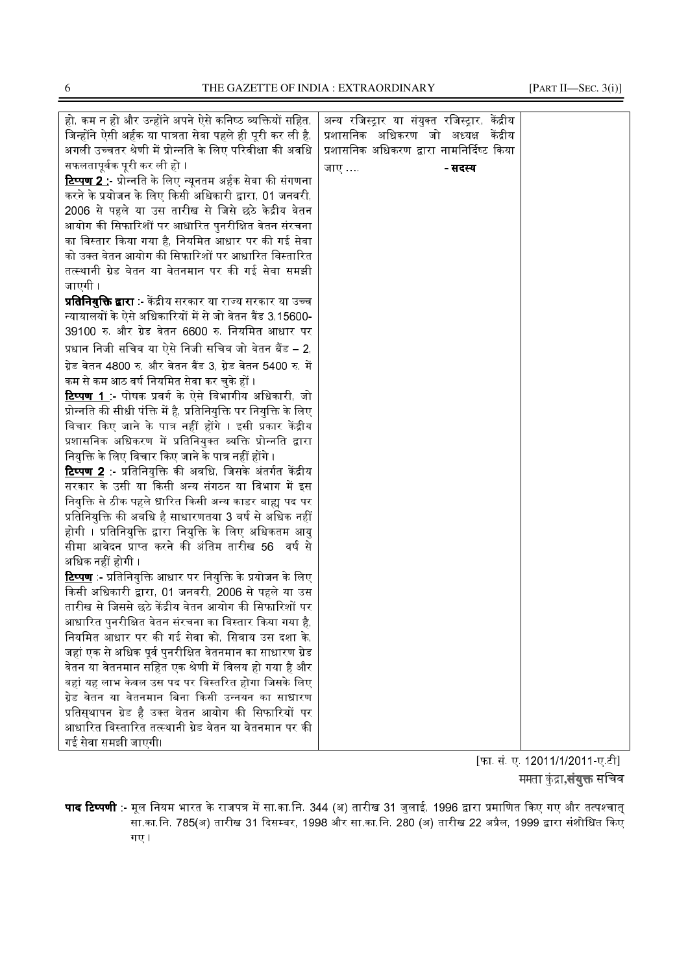6 THE GAZETTE OF INDIA : EXTRAORDINARY [PART II—SEC. 3(i)]

| हो, कम न हो और उन्होंने अपने ऐसे कनिष्ठ व्यक्तियों सहित,                | अन्य रजिस्ट्रार या संयुक्त रजिस्ट्रार, केंद्रीय |  |
|-------------------------------------------------------------------------|-------------------------------------------------|--|
| जिन्होंने ऐसी अर्हक या पात्रता सेवा पहले ही पूरी कर ली है,              | प्रशासनिक अधिकरण जो अध्यक्ष<br>केंद्रीय         |  |
| अगली उच्चतर श्रेणी में प्रोन्नति के लिए परिवीक्षा की अवधि               | प्रशासनिक अधिकरण द्वारा नामनिर्दिष्ट किया       |  |
| सफलतापूर्वक पूरी कर ली हो ।                                             | जाए …<br>- सदस्य                                |  |
| <mark>टिप्पण 2 :</mark> - प्रोन्नति के लिए न्यूनतम अर्हक सेवा की संगणना |                                                 |  |
| करने के प्रयोजन के लिए किसी अधिकारी द्वारा, 01 जनवरी,                   |                                                 |  |
| 2006 से पहले या उस तारीख से जिसे छठे केद्रीय वेतन                       |                                                 |  |
| आयोग की सिफारिशों पर आधारित पुनरीक्षित वेतन संरचना                      |                                                 |  |
| का विस्तार किया गया है, नियमित आधार पर की गई सेवा                       |                                                 |  |
| को उक्त वेतन आयोग की सिफारिशों पर आधारित विस्तारित                      |                                                 |  |
| तत्स्थानी ग्रेड वेतन या वेतनमान पर की गई सेवा समझी                      |                                                 |  |
| जाएगी                                                                   |                                                 |  |
| <b>प्रतिनियुक्ति द्वारा</b> :- केंद्रीय सरकार या राज्य सरकार या उच्च    |                                                 |  |
| न्यायालयों के ऐसे अधिकारियों में से जो वेतन बैंड 3,15600-               |                                                 |  |
| 39100 रु. और ग्रेड वेतन 6600 रु. नियमित आधार पर                         |                                                 |  |
| प्रधान निजी सचिव या ऐसे निजी सचिव जो वेतन बैंड – 2,                     |                                                 |  |
| ग्रेड वेतन 4800 रु. और वेतन बैंड 3, ग्रेड वेतन 5400 रु. में             |                                                 |  |
| कम से कम आठ वर्ष नियमित सेवा कर चुके हों                                |                                                 |  |
| <mark>टिप्पण 1</mark> . पोषक प्रवर्ग के ऐसे विभागीय अधिकारी, जो         |                                                 |  |
| प्रोन्नति की सीधी पंक्ति में है, प्रतिनियुक्ति पर नियुक्ति के लिए       |                                                 |  |
| विचार किए जाने के पात्र नहीं होंगे । इसी प्रकार केंद्रीय                |                                                 |  |
| प्रशासनिक अधिकरण में प्रतिनियुक्त व्यक्ति प्रोन्नति द्वारा              |                                                 |  |
| नियुक्ति के लिए विचार किए जाने के पात्र नहीं होंगे ।                    |                                                 |  |
| <mark>टिप्पण 2</mark> :- प्रतिनियुक्ति की अवधि, जिसके अंतर्गत केंद्रीय  |                                                 |  |
| सरकार के उसी या किसी अन्य संगठन या विभाग में इस                         |                                                 |  |
| नियुक्ति से ठीक पहले धारित किसी अन्य काडर बाह्य पद पर                   |                                                 |  |
| प्रतिनियुक्ति की अवधि है साधारणतया 3 वर्ष से अधिक नहीं                  |                                                 |  |
| होगी । प्रतिनियुक्ति द्वारा नियुक्ति के लिए अधिकतम आयु                  |                                                 |  |
| सीमा आवेदन प्राप्त करने की अंतिम तारीख 56 वर्ष से                       |                                                 |  |
| अधिक नहीं होगी ।                                                        |                                                 |  |
| <mark>टिप्पण</mark> :- प्रतिनियुक्ति आधार पर नियुक्ति के प्रयोजन के लिए |                                                 |  |
| किसी अधिकारी द्वारा, 01 जनवरी, 2006 से पहले या उस                       |                                                 |  |
| तारीख से जिससे छठे केंद्रीय वेतन आयोग की सिफारिशों पर                   |                                                 |  |
| आधारित पुनरीक्षित वेतन संरचना का विस्तार किया गया है,                   |                                                 |  |
| नियमित आधार पर की गई सेवा को, सिवाय उस दशा के,                          |                                                 |  |
| जहां एक से अधिक पूर्व पुनरीक्षित वेतनमान का साधारण ग्रेड                |                                                 |  |
| वेतन या वेतनमान सहित एक श्रेणी में विलय हो गया है और                    |                                                 |  |
| वहां यह लाभ केवल उस पद पर विस्तरित होगा जिसके लिए                       |                                                 |  |
| ग्रेड वेतन या वेतनमान बिना किसी उन्नयन का साधारण                        |                                                 |  |
| प्रतिस्थापन ग्रेड है उक्त वेतन आयोग की सिफारियों पर                     |                                                 |  |
| आधारित विस्तारित तत्स्थानी ग्रेड वेतन या वेतनमान पर की                  |                                                 |  |
| गई सेवा समझी जाएगी।                                                     |                                                 |  |

[फा. सं. ए. 12011/1/2011-ए.टी] ममता कुंद्रा**,संयुक्त** सचिव

**पाद टिप्पणी** :- मल नियम भारत के राजपत्र में सा.का.नि. 344 (अ) तारीख 31 जलाई. 1996 द्वारा प्रमाणित किए गए और तत्पश्चात सा.का.नि. 785(अ) तारीख 31 दिसम्बर, 1998 और सा.का.नि. 280 (अ) तारीख 22 अप्रैल, 1999 द्वारा संशोधित किए गए ।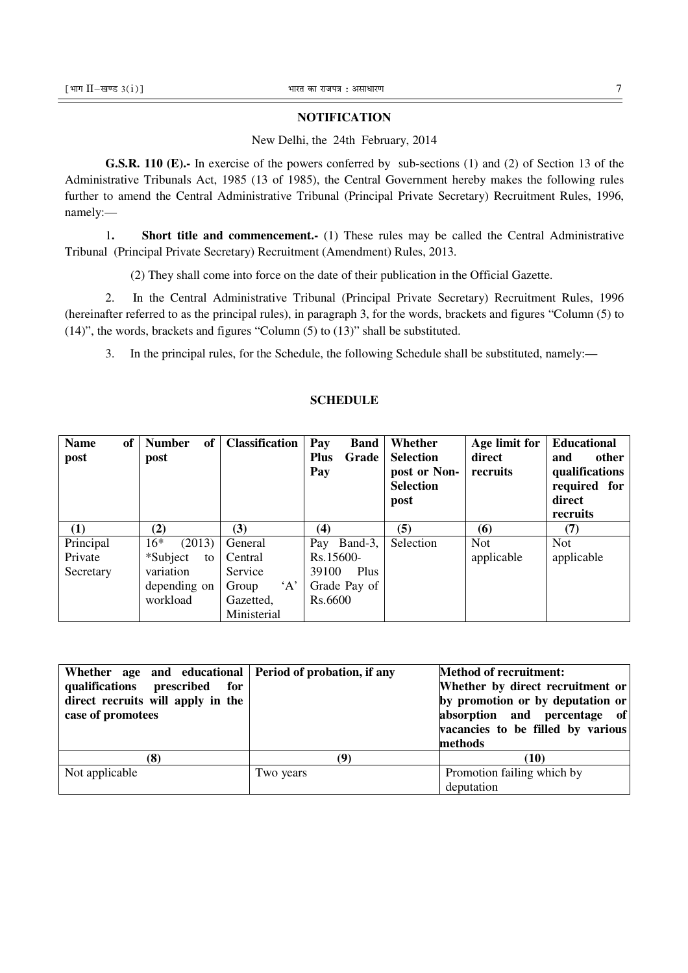#### **NOTIFICATION**

### New Delhi, the 24th February, 2014

**G.S.R. 110 (E).-** In exercise of the powers conferred by sub-sections (1) and (2) of Section 13 of the Administrative Tribunals Act, 1985 (13 of 1985), the Central Government hereby makes the following rules further to amend the Central Administrative Tribunal (Principal Private Secretary) Recruitment Rules, 1996, namely:—

1**. Short title and commencement.-** (1) These rules may be called the Central Administrative Tribunal (Principal Private Secretary) Recruitment (Amendment) Rules, 2013.

(2) They shall come into force on the date of their publication in the Official Gazette.

2. In the Central Administrative Tribunal (Principal Private Secretary) Recruitment Rules, 1996 (hereinafter referred to as the principal rules), in paragraph 3, for the words, brackets and figures "Column (5) to (14)", the words, brackets and figures "Column (5) to (13)" shall be substituted.

3. In the principal rules, for the Schedule, the following Schedule shall be substituted, namely:—

| of<br><b>Name</b><br>post | of<br><b>Number</b><br>post | <b>Classification</b> | Pay<br><b>Band</b><br><b>Plus</b><br>Grade<br>Pay | Whether<br><b>Selection</b><br>post or Non-<br><b>Selection</b><br>post | Age limit for<br>direct<br>recruits | <b>Educational</b><br>other<br>and<br>qualifications<br>required for<br>direct<br>recruits |
|---------------------------|-----------------------------|-----------------------|---------------------------------------------------|-------------------------------------------------------------------------|-------------------------------------|--------------------------------------------------------------------------------------------|
| (1)                       | (2)                         | (3)                   | (4)                                               | (5)                                                                     | (6)                                 | (7)                                                                                        |
| Principal                 | $16*$<br>(2013)             | General               | Pay Band-3,                                       | Selection                                                               | <b>Not</b>                          | <b>Not</b>                                                                                 |
| Private                   | *Subject<br>to              | Central               | Rs.15600-                                         |                                                                         | applicable                          | applicable                                                                                 |
| Secretary                 | variation                   | Service               | Plus<br>39100                                     |                                                                         |                                     |                                                                                            |
|                           | depending on                | A<br>Group            | Grade Pay of                                      |                                                                         |                                     |                                                                                            |
|                           | workload                    | Gazetted,             | Rs.6600                                           |                                                                         |                                     |                                                                                            |
|                           |                             | Ministerial           |                                                   |                                                                         |                                     |                                                                                            |

# **SCHEDULE**

| Whether age and educational Period of probation, if any<br>qualifications prescribed for<br>direct recruits will apply in the<br>case of promotees |           | <b>Method of recruitment:</b><br>Whether by direct recruitment or<br>by promotion or by deputation or<br>absorption and percentage of<br>vacancies to be filled by various<br>methods |
|----------------------------------------------------------------------------------------------------------------------------------------------------|-----------|---------------------------------------------------------------------------------------------------------------------------------------------------------------------------------------|
| (8)                                                                                                                                                | (Q`       | (10)                                                                                                                                                                                  |
| Not applicable                                                                                                                                     | Two years | Promotion failing which by                                                                                                                                                            |
|                                                                                                                                                    |           | deputation                                                                                                                                                                            |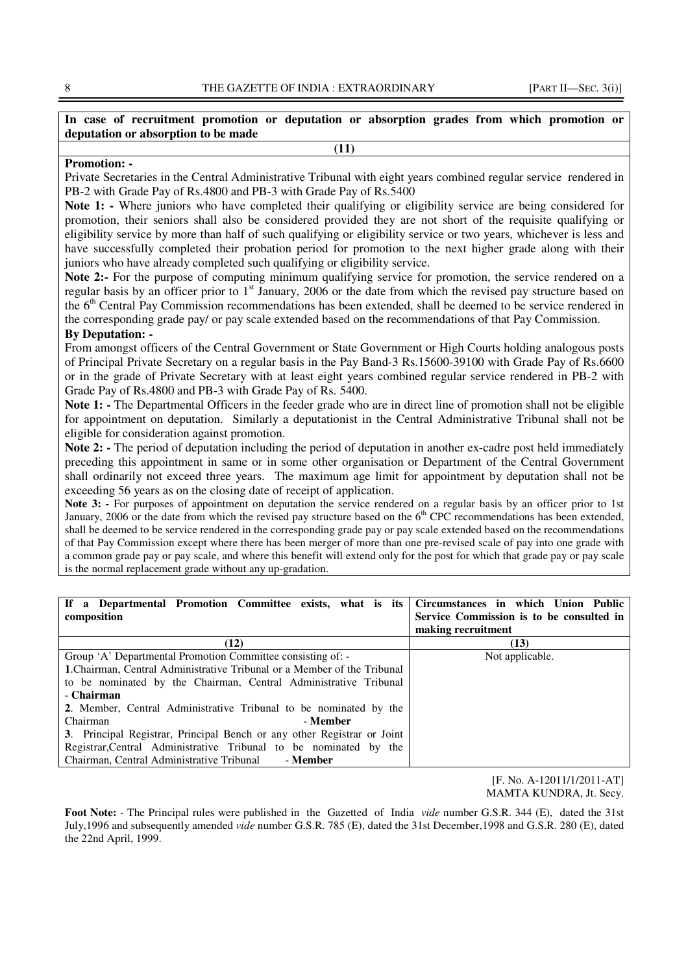### **In case of recruitment promotion or deputation or absorption grades from which promotion or deputation or absorption to be made (11)**

#### **Promotion: -**

Private Secretaries in the Central Administrative Tribunal with eight years combined regular service rendered in PB-2 with Grade Pay of Rs.4800 and PB-3 with Grade Pay of Rs.5400

**Note 1: -** Where juniors who have completed their qualifying or eligibility service are being considered for promotion, their seniors shall also be considered provided they are not short of the requisite qualifying or eligibility service by more than half of such qualifying or eligibility service or two years, whichever is less and have successfully completed their probation period for promotion to the next higher grade along with their juniors who have already completed such qualifying or eligibility service.

Note 2:- For the purpose of computing minimum qualifying service for promotion, the service rendered on a regular basis by an officer prior to 1<sup>st</sup> January, 2006 or the date from which the revised pay structure based on the 6<sup>th</sup> Central Pay Commission recommendations has been extended, shall be deemed to be service rendered in the corresponding grade pay/ or pay scale extended based on the recommendations of that Pay Commission.

#### **By Deputation: -**

From amongst officers of the Central Government or State Government or High Courts holding analogous posts of Principal Private Secretary on a regular basis in the Pay Band-3 Rs.15600-39100 with Grade Pay of Rs.6600 or in the grade of Private Secretary with at least eight years combined regular service rendered in PB-2 with Grade Pay of Rs.4800 and PB-3 with Grade Pay of Rs. 5400.

**Note 1:** - The Departmental Officers in the feeder grade who are in direct line of promotion shall not be eligible for appointment on deputation. Similarly a deputationist in the Central Administrative Tribunal shall not be eligible for consideration against promotion.

**Note 2:** - The period of deputation including the period of deputation in another ex-cadre post held immediately preceding this appointment in same or in some other organisation or Department of the Central Government shall ordinarily not exceed three years. The maximum age limit for appointment by deputation shall not be exceeding 56 years as on the closing date of receipt of application.

**Note 3: -** For purposes of appointment on deputation the service rendered on a regular basis by an officer prior to 1st January, 2006 or the date from which the revised pay structure based on the  $6<sup>th</sup>$  CPC recommendations has been extended, shall be deemed to be service rendered in the corresponding grade pay or pay scale extended based on the recommendations of that Pay Commission except where there has been merger of more than one pre-revised scale of pay into one grade with a common grade pay or pay scale, and where this benefit will extend only for the post for which that grade pay or pay scale is the normal replacement grade without any up-gradation.

| If a Departmental Promotion Committee exists, what is its                       | Circumstances in which Union Public      |  |
|---------------------------------------------------------------------------------|------------------------------------------|--|
| composition                                                                     | Service Commission is to be consulted in |  |
|                                                                                 | making recruitment                       |  |
| (12)                                                                            | (13)                                     |  |
| Group 'A' Departmental Promotion Committee consisting of: -                     | Not applicable.                          |  |
| <b>1. Chairman, Central Administrative Tribunal or a Member of the Tribunal</b> |                                          |  |
| to be nominated by the Chairman, Central Administrative Tribunal                |                                          |  |
| - Chairman                                                                      |                                          |  |
| 2. Member, Central Administrative Tribunal to be nominated by the               |                                          |  |
| Chairman<br>- Member                                                            |                                          |  |
| 3. Principal Registrar, Principal Bench or any other Registrar or Joint         |                                          |  |
| Registrar, Central Administrative Tribunal to be nominated by the               |                                          |  |
| Chairman, Central Administrative Tribunal<br>- Member                           |                                          |  |

[F. No. A-12011/1/2011-AT] MAMTA KUNDRA, Jt. Secy.

**Foot Note:** - The Principal rules were published in the Gazetted of India *vide* number G.S.R. 344 (E), dated the 31st July,1996 and subsequently amended *vide* number G.S.R. 785 (E), dated the 31st December,1998 and G.S.R. 280 (E), dated the 22nd April, 1999.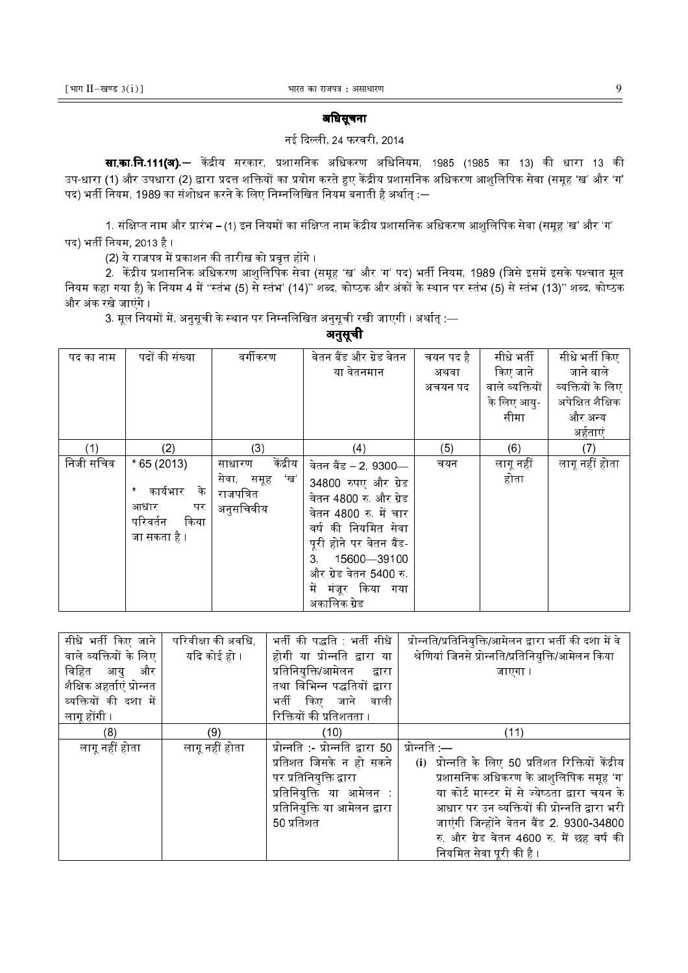# अिधसूचना

# नई दिल्ली, 24 फरवरी, 2014

**सा.का.नि.111(अ).**— केंद्रीय सरकार, प्रशासनिक अधिकरण अधिनियम, 1985 (1985 का 13) की धारा 13 की उप-धारा (1) और उपधारा (2) द्वारा प्रदत्त शक्तियों का प्रयोग करते हुए केंद्रीय प्रशासनिक अधिकरण आशुलिपिक सेवा (समूह 'ख' और 'ग' पद) भर्ती नियम, 1989 का संशोधन करने के लिए निम्नलिखित नियम बनाती है अर्थात् :—

1. संक्षिप्त नाम और प्रारंभ – (1) इन नियमों का संक्षिप्त नाम केंद्रीय प्रशासनिक अधिकरण आशलिपिक सेवा (समह 'ख' और 'ग' पद) भर्ती नियम, 2013 है ।

(2) ये राजपत्र में प्रकाशन की तारीख को प्रवत्त होंगे ।

2. केंद्रीय प्रशासनिक अधिकरण आशलिपिक सेवा (समह 'ख' और 'ग' पद) भर्ती नियम. 1989 (जिसे इसमें इसके पश्चात मल नियम कहा गया है) के नियम 4 में "स्तंभ (5) से स्तंभ' (14)'' शब्द, कोष्ठक और अंकों के स्थान पर स्तंभ (5) से स्तंभ (13)'' शब्द, कोष्ठक और अंक रखे जाएंगे ।

3. मूल नियमों में, अनुसूची के स्थान पर निम्नलिखित अनुसूची रखी जाएगी । अर्थात् —

अनुसूची

| पद का नाम | पदों की संख्या   | वर्गीकरण                       | वेतन बैंड और ग्रेड वेतन | चयन पद है | सीधे भर्ती      | सीधे भर्ती किए    |
|-----------|------------------|--------------------------------|-------------------------|-----------|-----------------|-------------------|
|           |                  |                                | या वेतनमान              | अथवा      | किए जाने        | जाने वाले         |
|           |                  |                                |                         | अचयन पद   | वाले व्यक्तियों | व्यक्तियों के लिए |
|           |                  |                                |                         |           | के लिए आयु-     | अपेक्षित शैक्षिक  |
|           |                  |                                |                         |           | सीमा            | और अन्य           |
|           |                  |                                |                         |           |                 | अर्हताएं          |
| (1)       | (2)              | (3)                            | (4)                     | (5)       | (6)             | (7)               |
| निजी सचिव | $*65(2013)$      | केंद्रीय<br>साधारण             | वेतन बैंड – 2, 9300—    | चयन       | लागू नहीं       | लागू नहीं होता    |
|           | कार्यभार<br>के   | 'ख'<br>सेवा, समूह<br>राजपत्रित | 34800 रुपए और ग्रेड     |           | होता            |                   |
|           | पर<br>आधार       |                                | वेतन 4800 रु और ग्रेड   |           |                 |                   |
|           | किया<br>परिवर्तन | अनुसचिवीय                      | वेतन 4800 रु में चार    |           |                 |                   |
|           |                  |                                | वर्ष की नियमित सेवा     |           |                 |                   |
|           | जा सकता है ।     |                                | पूरी होने पर वेतन बैंड  |           |                 |                   |
|           |                  |                                | 3 15600-39100           |           |                 |                   |
|           |                  |                                | और ग्रेड वेतन 5400 रु   |           |                 |                   |
|           |                  |                                | में मंजूर किया गया      |           |                 |                   |
|           |                  |                                | अकालिक ग्रेड            |           |                 |                   |
|           |                  |                                |                         |           |                 |                   |

| सीधे भर्ती किए जाने       | परिवीक्षा की अवधि, | भर्ती की पद्धति   भर्ती सीधे            | प्रोन्नति/प्रतिनियुक्ति/आमेलन द्वारा भर्ती की दशा में वे |
|---------------------------|--------------------|-----------------------------------------|----------------------------------------------------------|
| वाले व्यक्तियों के लिए    | यदि कोई हो ।       | होगी या प्रोन्नति द्वारा या             | श्रेणियां जिनसे प्रोन्नति/प्रतिनियुक्ति/आमेलन किया       |
| विहित आयु<br>और           |                    | प्रतिनियुक्ति/आमेलन द्वारा              | जाएगा ।                                                  |
| शैक्षिक अहर्ताएं प्रोन्नत |                    | तथा विभिन्न पद्धतियों द्वारा            |                                                          |
| व्यक्तियों की दशा में     |                    | भर्ती किए जाने वाली                     |                                                          |
| लागू होंगी ।              |                    | रिक्तियों की प्रतिशतता ।                |                                                          |
| (8)                       | (9)                | (10)                                    | (11)                                                     |
| लागू नहीं होता            | लागू नहीं होता     | <u>प्रोन्नति :- प्रोन्नति द्वारा 50</u> | प्रोन्नति —                                              |
|                           |                    | प्रतिशत जिसके न हो सकने                 | (i) प्रोन्नति के लिए 50 प्रतिशत रिक्तियों केंद्रीय       |
|                           |                    | पर प्रतिनियुक्ति द्वारा                 | प्रशासनिक अधिकरण के आशुलिपिक समूह 'ग'                    |
|                           |                    | प्रतिनियुक्ति या आमेलन                  | या कोर्ट मास्टर में से ज्येष्ठता द्वारा चयन के           |
|                           |                    | प्रतिनियुक्ति या आमेलन द्वारा           | आधार पर उन व्यक्तियों की प्रोन्नति द्वारा भरी            |
|                           |                    | 50 प्रतिशत                              | जाएंगी जिन्होंने वेतन बैंड 2, 9300-34800                 |
|                           |                    |                                         | रु और ग्रेड वेतन 4600 रु में छह वर्ष की                  |
|                           |                    |                                         | नियमित सेवा पूरी की है ।                                 |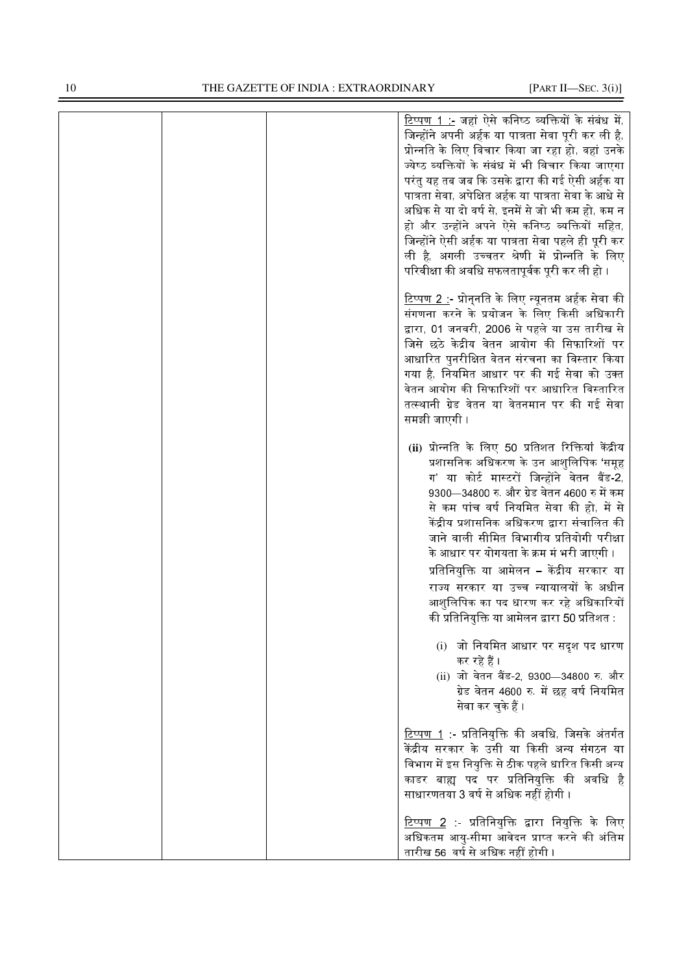|  | <u>टिप्पण 1 :-</u> जहां ऐसे कनिष्ठ व्यक्तियों के संबंध में,<br>जिन्होंने अपनी अर्हक या पात्रता सेवा पूरी कर ली है,<br>प्रोन्नति के लिए विचार किया जा रहा हो, वहां उनके<br>ज्येष्ठ व्यक्तियों के संबंध में भी विचार किया जाएगा<br>परंतु यह तब जब कि उसके द्वारा की गई ऐसी अर्हक या<br>पात्रता सेवा, अपेक्षित अर्हक या पात्रता सेवा के आधे से<br>अधिक से या दो वर्ष से, इनमें से जो भी कम हो, कम न<br>हो और उन्होंने अपने ऐसे कनिष्ठ व्यक्तियों सहित,<br>जिन्होंने ऐसी अर्हक या पात्रता सेवा पहले ही पूरी कर<br>ली है, अगली उच्चतर श्रेणी में प्रोन्नति के लिए<br>परिवीक्षा की अवधि सफलतापूर्वक पूरी कर ली हो । |
|--|---------------------------------------------------------------------------------------------------------------------------------------------------------------------------------------------------------------------------------------------------------------------------------------------------------------------------------------------------------------------------------------------------------------------------------------------------------------------------------------------------------------------------------------------------------------------------------------------------------------|
|  | <u>टिप्पण 2 :</u> - प्रोन् <b>नति के लिए न्यूनतम अर्हक सेवा</b> की<br>संगणना करने के प्रयोजन के लिए किसी अधिकारी<br>द्वारा, 01 जनवरी, 2006 से पहले या उस तारीख से<br>जिसे छठे केद्रीय वेतन आयोग की सिफारिशों पर<br>आधारित पुनरीक्षित वेतन संरचना का विस्तार किया<br>गया है, नियमित आधार पर की गई सेवा को उक्त<br>वेतन आयोग की सिफारिशों पर आधारित विस्तारित<br>तत्स्थानी ग्रेड वेतन या वेतनमान पर की गई सेवा<br>समझी जाएगी ।                                                                                                                                                                                  |
|  | (ii) प्रोन्नति के लिए 50 प्रतिशत रिक्तियां केंद्रीय<br>प्रशासनिक अधिकरण के उन आशुलिपिक 'समूह<br>ग' या कोर्ट मास्टरों जिन्होंने वेतन बैंड-2,<br>9300—34800 रु. और ग्रेड वेतन 4600 रु में कम<br>से कम पांच वर्ष नियमित सेवा की हो, में से<br>केंद्रीय प्रशासनिक अधिकरण द्वारा संचालित की<br>जाने वाली सीमित विभागीय प्रतियोगी परीक्षा<br>के आधार पर योगयता के क्रम मं भरी जाएगी ।<br>प्रतिनियुक्ति या आमेलन – केंद्रीय सरकार या<br>राज्य सरकार या उच्च न्यायालयों के अधीन<br>आशुलिपिक का पद धारण कर रहे अधिकारियों<br>की प्रतिनियुक्ति या आमेलन द्वारा 50 प्रतिशत :                                             |
|  | (i) जो नियमित आधार पर सदृश पद धारण<br>कर रहे हैं ।<br>(ii) जो वेतन बैंड-2, 9300-34800 रु. और<br>ग्रेड वेतन 4600 रु. में छह वर्ष नियमित<br>सेवा कर चुके हैं ।                                                                                                                                                                                                                                                                                                                                                                                                                                                  |
|  | <u>टिप्पण 1</u> :- प्रतिनियुक्ति की अवधि, जिसके अंतर्गत<br>केंद्रीय सरकार के उसी या किसी अन्य संगठन या<br>विभाग में इस नियुक्ति से ठीक पहले धारित किसी अन्य<br>काडर बाह्य पद पर प्रतिनियुक्ति की अवधि है<br>साधारणतया 3 वर्ष से अधिक नहीं होगी ।                                                                                                                                                                                                                                                                                                                                                              |
|  | <u>टिप्पण 2</u> :- प्रतिनियुक्ति द्वारा नियुक्ति के लिए<br>अधिकतम आयु-सीमा आवेदन प्राप्त करने की अंतिम<br>तारीख 56  वर्ष से अधिक नहीं होगी                                                                                                                                                                                                                                                                                                                                                                                                                                                                    |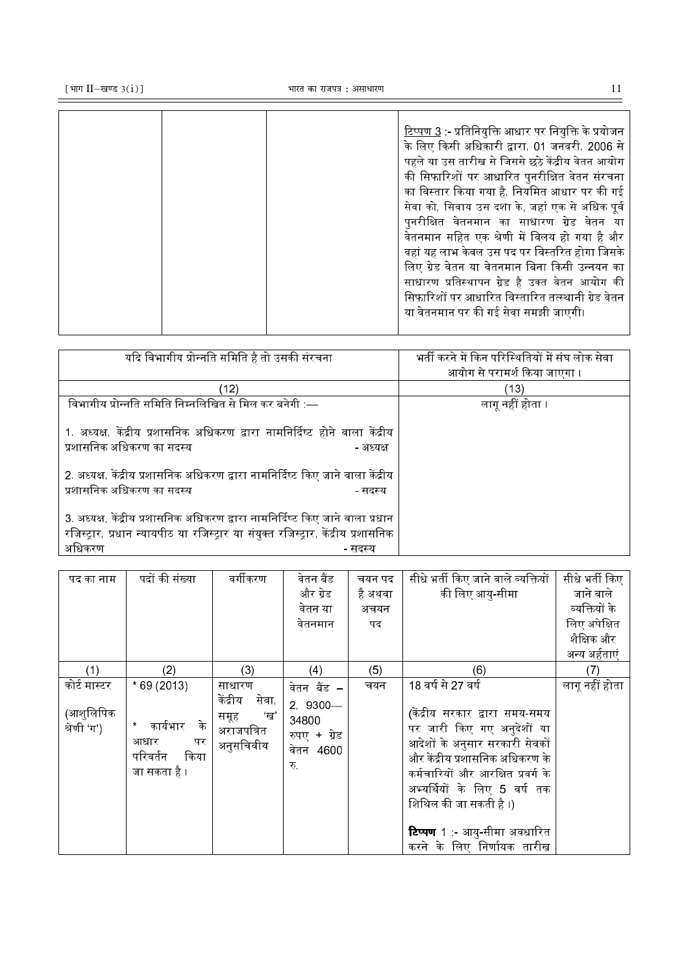टिप्पण 3 :- प्रतिनियक्ति आधार पर नियक्ति के प्रयोजन " #<, 01 जनवरी, 2006 से पहले या उस तारीख से जिससे छठे केंद्रीय वेतन आयोग की सिफारिशों पर आधारित पुनरीक्षित वेतन संरचना का विस्तार किया गया है. नियमित आधार पर की गई सेवा को, सिवाय उस दशा के, जहां एक से अधिक पूर्व पनरीक्षित वेतनमान का साधारण ग्रेड वेतन या वेतनमान सहित एक श्रेणी में विलय हो गया है और वहां यह लाभ केवल उस पद पर विस्तरित होगा जिसके लिए ग्रेड वेतन या वेतनमान बिना किसी उन्नयन क<mark>ा</mark> साधारण प्रतिस्थापन ग्रेड है उक्त वेतन आयोग क<mark>ी</mark> सिफारिशों पर आधारित विस्तारित तत्स्थानी ग्रेड वेतन या वेतनमान पर की गई सेवा समझी जाएगी।

| यदि विभागीय प्रोन्नति समिति है तो उसकी संरचना                                                                                                                                              | भर्ती करने में किन परिस्थितियों में संघ लोक सेवा<br>आयोग से परामर्श किया जाएगा । |
|--------------------------------------------------------------------------------------------------------------------------------------------------------------------------------------------|----------------------------------------------------------------------------------|
| (12)                                                                                                                                                                                       | (13)                                                                             |
| विभागीय प्रोन्नति समिति निम्नलिखित से मिल कर बनेगी :—                                                                                                                                      | लागू नहीं होता ।                                                                 |
| 1. अध्यक्ष, केंद्रीय प्रशासनिक अधिकरण द्वारा नामनिर्दिष्ट होने वाला केंद्रीय<br>प्रशासनिक अधिकरण का सदस्य<br>- अध्यक्ष                                                                     |                                                                                  |
| 2. अध्यक्ष, केंद्रीय प्रशासनिक अधिकरण द्वारा नामनिर्दिष्ट किए जाने वाला केंद्रीय<br>प्रशासनिक अधिकरण का सदस्य<br>- सदस्य                                                                   |                                                                                  |
| 3. अध्यक्ष, केंद्रीय प्रशासनिक अधिकरण द्वारा नामनिर्दिष्ट किए जाने वाला प्रधान<br>रजिस्ट्रार, प्रधान न्यायपीठ या रजिस्ट्रार या संयुक्त रजिस्ट्रार, केंद्रीय प्रशासनिक<br>अधिकरण<br>- सदस्य |                                                                                  |

| पद का नाम                | पदों की संख्या                                                     | वर्गीकरण                                                    | वेतन बैंड                                             | चयन पद  | सीधे भर्ती किए जाने वाले व्यक्तियों                                                                                                                                                                                                                                                                   | सीधे भर्ती किए |
|--------------------------|--------------------------------------------------------------------|-------------------------------------------------------------|-------------------------------------------------------|---------|-------------------------------------------------------------------------------------------------------------------------------------------------------------------------------------------------------------------------------------------------------------------------------------------------------|----------------|
|                          |                                                                    |                                                             | और ग्रेड                                              | है अथवा | की लिए आयु-सीमा                                                                                                                                                                                                                                                                                       | जाने वाले      |
|                          |                                                                    |                                                             | वेतन या                                               | अचयन    |                                                                                                                                                                                                                                                                                                       | व्यक्तियों के  |
|                          |                                                                    |                                                             | वेतनमान                                               | पद      |                                                                                                                                                                                                                                                                                                       | लिए अपेक्षित   |
|                          |                                                                    |                                                             |                                                       |         |                                                                                                                                                                                                                                                                                                       | शैक्षिक और     |
|                          |                                                                    |                                                             |                                                       |         |                                                                                                                                                                                                                                                                                                       | अन्य अर्हताएं  |
| (1)                      | (2)                                                                | (3)                                                         | (4)                                                   | (5)     | (6)                                                                                                                                                                                                                                                                                                   | (7)            |
| कोर्ट मास्टर             | $*69(2013)$                                                        | साधारण                                                      | वेतन बैंड –                                           | चयन     | 18 वर्ष से 27 वर्ष                                                                                                                                                                                                                                                                                    | लागू नहीं होता |
| (आशुलिपिक<br>श्रेणी 'ग') | कार्यभार<br>े के<br>आधार<br>पर<br>किया<br>परिवर्तन<br>जा सकता है । | केंद्रीय<br>सेवा,<br>ंख'<br>समूह<br>अराजपत्रित<br>अनुसचिवीय | $2,9300-$<br>34800<br>रुपए + ग्रेड<br>वेतन 4600<br>रु |         | (केंद्रीय सरकार द्वारा समय-समय<br>पर जारी किए गए अनुदेशों या<br>आदेशों के अनुसार सरकारी सेवकों<br>और केंद्रीय प्रशासनिक अधिकरण के<br>कर्मचारियों और आरक्षित प्रवर्ग के<br>अभ्यर्थियों के लिए 5 वर्ष तक<br>शिथिल की जा सकती है ।)<br><b>टिप्पण</b> 1 :- आयु-सीमा अवधारित<br>करने के लिए निर्णायक तारीख |                |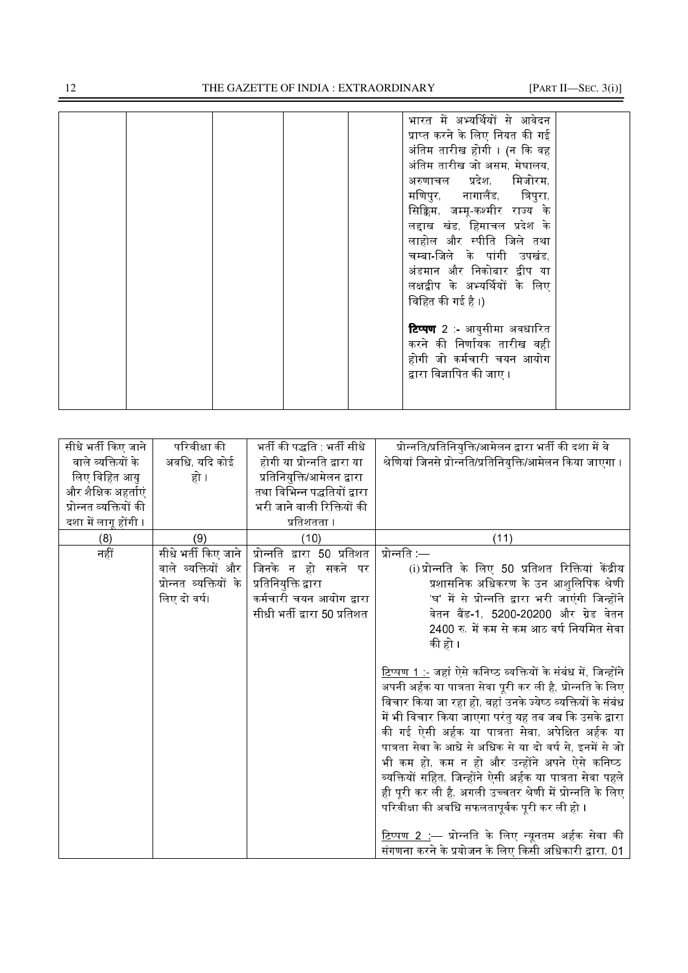# THE GAZETTE OF INDIA : EXTRAORDINARY [PART II—SEC. 3(i)]

|  |  |  | भारत में अभ्यर्थियों से आवेदन     |  |
|--|--|--|-----------------------------------|--|
|  |  |  | प्राप्त करने के लिए नियत की गई    |  |
|  |  |  | अंतिम तारीख होगी । (न कि वह       |  |
|  |  |  | अंतिम तारीख जो असम, मेघालय,       |  |
|  |  |  | अरुणाचल प्रदेश मिजोरम             |  |
|  |  |  | मणिपुर, नागालैंड, त्रिपुरा,       |  |
|  |  |  | सिक्किम, जम्मू-कश्मीर राज्य के    |  |
|  |  |  | लद्दाख खंड, हिमाचल प्रदेश के      |  |
|  |  |  | लाहोल और स्पीति जिले तथा          |  |
|  |  |  | चम्बा-जिले के पांगी उपखंड         |  |
|  |  |  | अंडमान और निकोबार द्वीप या        |  |
|  |  |  | लक्षद्वीप के अभ्यर्थियों के लिए   |  |
|  |  |  | विहित की गई है ।)                 |  |
|  |  |  |                                   |  |
|  |  |  | <b>टिप्पण</b> 2 - आयुसीमा अवधारित |  |
|  |  |  | करने की निर्णायक तारीख वही        |  |
|  |  |  | होगी जो कर्मचारी चयन आयोग         |  |
|  |  |  | द्वारा विज्ञापित की जाए ।         |  |
|  |  |  |                                   |  |
|  |  |  |                                   |  |
|  |  |  |                                   |  |

| सीधे भर्ती किए जाने    | परिवीक्षा की           | भर्ती की पद्धति : भर्ती सीधे | प्रोन्नति/प्रतिनियुक्ति/आमेलन द्वारा भर्ती की दशा में वे              |
|------------------------|------------------------|------------------------------|-----------------------------------------------------------------------|
| वाले व्यक्तियों के     | अवधि, यदि कोई          | होगी या प्रोन्नति द्वारा या  | श्रेणियां जिनसे प्रोन्नति/प्रतिनियुक्ति/आमेलन किया जाएगा ।            |
| लिए विहित आयु          | हो ।                   | प्रतिनियुक्ति/आमेलन द्वारा   |                                                                       |
| और शैक्षिक अहर्ताएं    |                        | तथा विभिन्न पद्धतियों द्वारा |                                                                       |
| प्रोन्नत व्यक्तियों की |                        | भरी जाने वाली रिक्तियों की   |                                                                       |
| दशा में लागू होंगी ।   |                        | प्रतिशतता ।                  |                                                                       |
| (8)                    | (9)                    | (10)                         | (11)                                                                  |
| नहीं                   | सीधे भर्ती किए जाने    | प्रोन्नति द्वारा 50 प्रतिशत  | प्रोन्नति $-$                                                         |
|                        | वाले व्यक्तियों और     | जिनके न हो सकने पर           | (i) प्रोन्नति के लिए 50 प्रतिशत रिक्तियां केंद्रीय                    |
|                        | प्रोन्नत व्यक्तियों के | प्रतिनियुक्ति द्वारा         | प्रशासनिक अधिकरण के उन आशुलिपिक श्रेणी                                |
|                        | लिए दो वर्ष।           | कर्मचारी चयन आयोग द्वारा     | 'घ' में से प्रोन्नति द्वारा भरी जाएंगी जिन्होंने                      |
|                        |                        | सीधी भर्ती द्वारा 50 प्रतिशत | वेतन बैंड-1, 5200-20200 और ग्रेड वेतन                                 |
|                        |                        |                              | 2400 रु. में कम से कम आठ वर्ष नियमित सेवा                             |
|                        |                        |                              | की हो ।                                                               |
|                        |                        |                              |                                                                       |
|                        |                        |                              | <u>टिप्पण 1 :-</u> जहां ऐसे कनिष्ठ व्यक्तियों के संबंध में, जिन्होंने |
|                        |                        |                              | अपनी अर्हक या पात्रता सेवा पूरी कर ली है, प्रोन्नति के लिए            |
|                        |                        |                              | विचार किया जा रहा हो, वहां उनके ज्येष्ठ व्यक्तियों के संबंध           |
|                        |                        |                              | में भी विचार किया जाएगा परंतु यह तब जब कि उसके द्वारा                 |
|                        |                        |                              | की गई ऐसी अर्हक या पात्रता सेवा, अपेक्षित अर्हक या                    |
|                        |                        |                              | पात्रता सेवा के आधे से अधिक से या दो वर्ष से, इनमें से जो             |
|                        |                        |                              | भी कम हो, कम न हो और उन्होंने अपने ऐसे कनिष्ठ                         |
|                        |                        |                              | व्यक्तियों सहित, जिन्होंने ऐसी अर्हक या पात्रता सेवा पहले             |
|                        |                        |                              | ही पूरी कर ली है, अगली उच्चतर श्रेणी में प्रोन्नति के लिए             |
|                        |                        |                              | परिवीक्षा की अवधि सफलतापूर्वक पूरी कर ली हो ।                         |
|                        |                        |                              |                                                                       |
|                        |                        |                              | <u>टिप्पण 2 .</u> — प्रोन्नति के लिए न्यूनतम अर्हक सेवा की            |
|                        |                        |                              | संगणना करने के प्रयोजन के लिए किसी अधिकारी द्वारा, 01                 |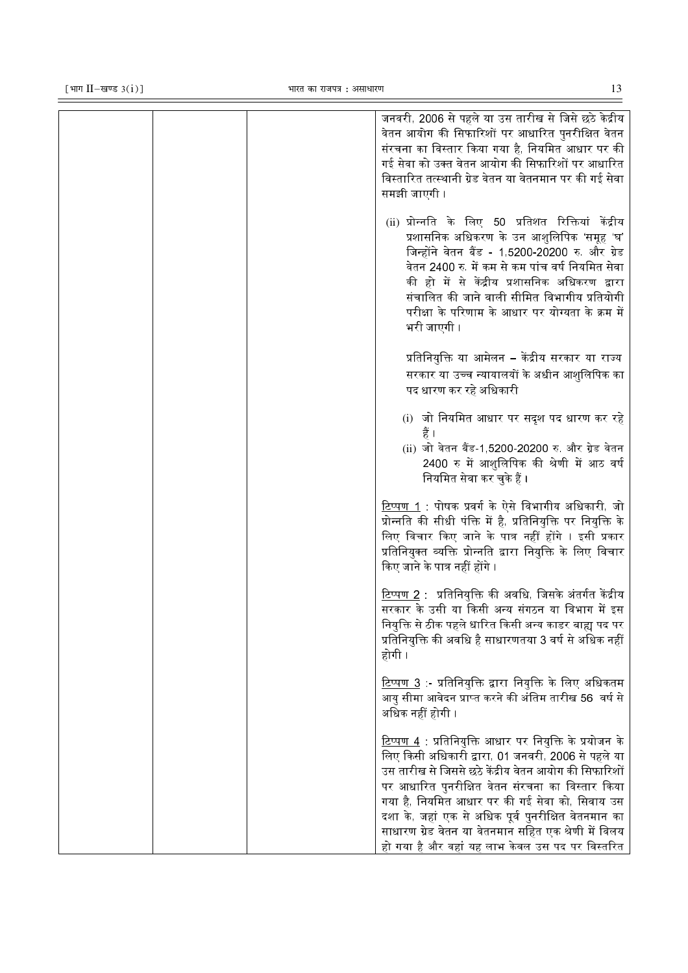| जनवरी, 2006 से पहले या उस तारीख से जिसे छठे केद्रीय<br>वेतन आयोग की सिफारिशों पर आधारित पुनरीक्षित वेतन<br>संरचना का विस्तार किया गया है, नियमित आधार पर की<br>गई सेवा को उक्त वेतन आयोग की सिफारिशों पर आधारित<br>विस्तारित तत्स्थानी ग्रेड वेतन या वेतनमान पर की गई सेवा<br>समझी जाएगी ।                                                                                                                                                            |
|-------------------------------------------------------------------------------------------------------------------------------------------------------------------------------------------------------------------------------------------------------------------------------------------------------------------------------------------------------------------------------------------------------------------------------------------------------|
| (ii) प्रोन्नति के लिए 50 प्रतिशत रिक्तियां केंद्रीय<br>प्रशासनिक अधिकरण के उन आशुलिपिक 'समूह 'घ'<br>जिन्होंने वेतन बैंड - 1,5200-20200 रु. और ग्रेड<br>वेतन 2400 रु में कम से कम पांच वर्ष नियमित सेवा<br>की हो में से केंद्रीय प्रशासनिक अधिकरण द्वारा<br>संचालित की जाने वाली सीमित विभागीय प्रतियोगी<br>परीक्षा के परिणाम के आधार पर योग्यता के क्रम में<br>भरी जाएगी ।                                                                            |
| प्रतिनियुक्ति या आमेलन – केंद्रीय सरकार या राज्य<br>सरकार या उच्च न्यायालयों के अधीन आशुलिपिक का<br>पद धारण कर रहे अधिकारी                                                                                                                                                                                                                                                                                                                            |
| (i) जो नियमित आधार पर सदृश पद धारण कर रहे<br>(ii) जो वेतन बैंड-1,5200-20200 रु. और ग्रेड वेतन<br>2400 रु में आशुलिपिक की श्रेणी में आठ वर्ष<br>नियमित सेवा कर चुके हैं ।                                                                                                                                                                                                                                                                              |
| <u>टिप्पण 1</u> : पोषक प्रवर्ग के ऐसे विभागीय अधिकारी, जो<br>प्रोन्नति की सीधी पंक्ति में है, प्रतिनियुक्ति पर नियुक्ति के<br>लिए विचार किए जाने के पात्र नहीं होंगे । इसी प्रकार<br>प्रतिनियुक्त व्यक्ति प्रोन्नति द्वारा नियुक्ति के लिए विचार<br>किए जाने के पात्र नहीं होंगे ।                                                                                                                                                                    |
| $\overline{\text{2}}$ प्पण 2 : प्रतिनियुक्ति की अवधि, जिसके अंतर्गत केंद्रीय<br>सरकार के उसी या किसी अन्य संगठन या विभाग में इस<br>नियुक्ति से ठीक पहले धारित किसी अन्य काडर बाह्य पद पर<br>प्रतिनियुक्ति की अवधि है साधारणतया 3 वर्ष से अधिक नहीं<br>होगी ।                                                                                                                                                                                          |
| <u>टिप्पण 3</u> :- प्रतिनियुक्ति द्वारा नियुक्ति के लिए अधिकतम<br>आयु सीमा आवेदन प्राप्त करने की अंतिम तारीख 56  वर्ष से<br>अधिक नहीं होगी ।                                                                                                                                                                                                                                                                                                          |
| <u>टिप्पण 4</u> : प्रतिनियुक्ति आधार पर नियुक्ति के प्रयोजन के<br>लिए किसी अधिकारी द्वारा, 01 जनवरी, 2006 से पहले या<br>उस तारीख से जिससे छठे केंद्रीय वेतन आयोग की सिफारिशों<br>पर आधारित पुनरीक्षित वेतन संरचना का विस्तार किया<br>गया है, नियमित आधार पर की गई सेवा को, सिवाय उस<br>दशा के, जहां एक से अधिक पूर्व पुनरीक्षित वेतनमान का<br>साधारण ग्रेड वेतन या वेतनमान सहित एक श्रेणी में विलय<br>हो गया है और वहां यह लाभ केवल उस पद पर विस्तरित |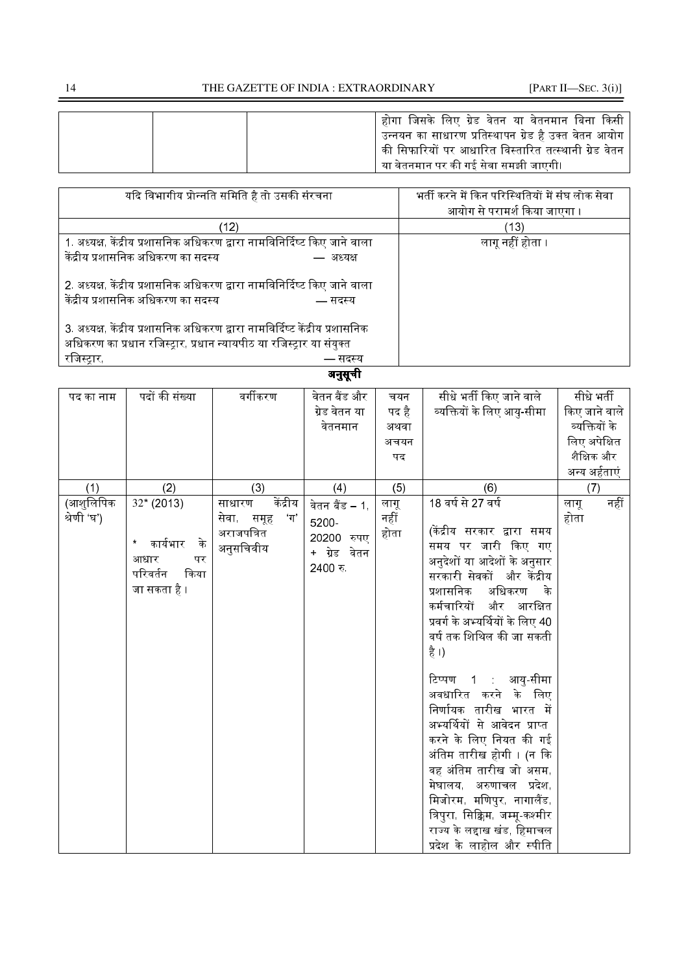| होगा जिसके लिए ग्रेड वेतन या वेतनमान बिना किसी<br><sup>।</sup> उन्नयन का साधारण प्रतिस्थापन ग्रेड है उक्त वेतन आयोग<br>की सिफारियों पर आधारित विस्तारित तत्स्थानी ग्रेड वेतन<br>या वेतनमान पर की गई सेवा समझी जाएगी। |
|----------------------------------------------------------------------------------------------------------------------------------------------------------------------------------------------------------------------|
|                                                                                                                                                                                                                      |

| यदि विभागीय प्रोन्नति समिति है तो उसकी संरचना                                | भर्ती करने में किन परिस्थितियों में संघ लोक सेवा |
|------------------------------------------------------------------------------|--------------------------------------------------|
|                                                                              | आयोग से परामर्श किया जाएगा ।                     |
| (12)                                                                         | (13)                                             |
| 1. अध्यक्ष, केंद्रीय प्रशासनिक अधिकरण द्वारा नामविनिर्दिष्ट किए जाने वाला    | लागू नहीं होता ।                                 |
| केंद्रीय प्रशासनिक अधिकरण का सदस्य<br>— अध्यक्ष                              |                                                  |
| 2. अध्यक्ष, केंद्रीय प्रशासनिक अधिकरण द्वारा नामविनिर्दिष्ट किए जाने वाला    |                                                  |
| केंद्रीय प्रशासनिक अधिकरण का सदस्य<br>— सदस्य                                |                                                  |
| 3. अध्यक्ष, केंद्रीय प्रशासनिक अधिकरण द्वारा नामविर्दिष्ट केंद्रीय प्रशासनिक |                                                  |
| अधिकरण का प्रधान रजिस्ट्रार, प्रधान न्यायपीठ या रजिस्ट्रार या संयुक्त        |                                                  |
| रजिस्ट्रार,<br>— सदस्य                                                       |                                                  |
| अनुसूचा                                                                      |                                                  |

| पद का नाम                | पदों की संख्या                                                                      | वर्गीकरण                                                           | वेतन बैंड और                                                     | चयन                  | सीधे भर्ती किए जाने वाले                                                                                                                                                                                                                                                                                                                                                                                                                                                                                                                                                               | सीधे भर्ती           |
|--------------------------|-------------------------------------------------------------------------------------|--------------------------------------------------------------------|------------------------------------------------------------------|----------------------|----------------------------------------------------------------------------------------------------------------------------------------------------------------------------------------------------------------------------------------------------------------------------------------------------------------------------------------------------------------------------------------------------------------------------------------------------------------------------------------------------------------------------------------------------------------------------------------|----------------------|
|                          |                                                                                     |                                                                    | ग्रेड वेतन या                                                    | पद है                | व्यक्तियों के लिए आयु-सीमा                                                                                                                                                                                                                                                                                                                                                                                                                                                                                                                                                             | किए जाने वाले        |
|                          |                                                                                     |                                                                    | वेतनमान                                                          | अथवा                 |                                                                                                                                                                                                                                                                                                                                                                                                                                                                                                                                                                                        | व्यक्तियों के        |
|                          |                                                                                     |                                                                    |                                                                  | अचयन                 |                                                                                                                                                                                                                                                                                                                                                                                                                                                                                                                                                                                        | लिए अपेक्षित         |
|                          |                                                                                     |                                                                    |                                                                  | पद                   |                                                                                                                                                                                                                                                                                                                                                                                                                                                                                                                                                                                        | शैक्षिक और           |
|                          |                                                                                     |                                                                    |                                                                  |                      |                                                                                                                                                                                                                                                                                                                                                                                                                                                                                                                                                                                        | अन्य अर्हताएं        |
| (1)                      | (2)                                                                                 | (3)                                                                | (4)                                                              | (5)                  | (6)                                                                                                                                                                                                                                                                                                                                                                                                                                                                                                                                                                                    | (7)                  |
| (आशुलिपिक<br>श्रेणी 'घ') | $32*(2013)$<br>* कार्यभार<br>े के<br>आधार<br>पर<br>परिवर्तन<br>किया<br>जा सकता है । | केंद्रीय<br>साधारण<br>सेवा, समूह<br>ंग'<br>अराजपत्रित<br>अनुसचिवीय | वेतन बैंड – 1,<br>5200-<br>20200 रुपए<br>+ ग्रेड वेतन<br>2400 रु | लागू<br>नहीं<br>होता | 18 वर्ष से 27 वर्ष<br>(केंद्रीय सरकार द्वारा समय<br>समय पर जारी किए गए<br>अनुदेशों या आदेशों के अनुसार<br>सरकारी सेवकों और केंद्रीय<br>प्रशासनिक<br>अधिकरण<br>के<br>कर्मचारियों और आरक्षित<br>प्रवर्ग के अभ्यर्थियों के लिए 40<br>वर्ष तक शिथिल की जा सकती<br>है ।)<br>टिप्पण 1 : आयु-सीमा<br>अवधारित करने के लिए<br>निर्णायक तारीख भारत में<br>अभ्यर्थियों से आवेदन प्राप्त<br>करने के लिए नियत की गई<br>अंतिम तारीख होगी । (न कि<br>वह अंतिम तारीख जो असम,<br>मेघालय, अरुणाचल प्रदेश,<br>मिजोरम, मणिपुर, नागालैंड,<br>त्रिपुरा, सिक्किम, जम्मू-कश्मीर<br>राज्य के लद्दाख खंड, हिमाचल | नहीं<br>लागू<br>होता |
|                          |                                                                                     |                                                                    |                                                                  |                      | प्रदेश के लाहोल और स्पीति                                                                                                                                                                                                                                                                                                                                                                                                                                                                                                                                                              |                      |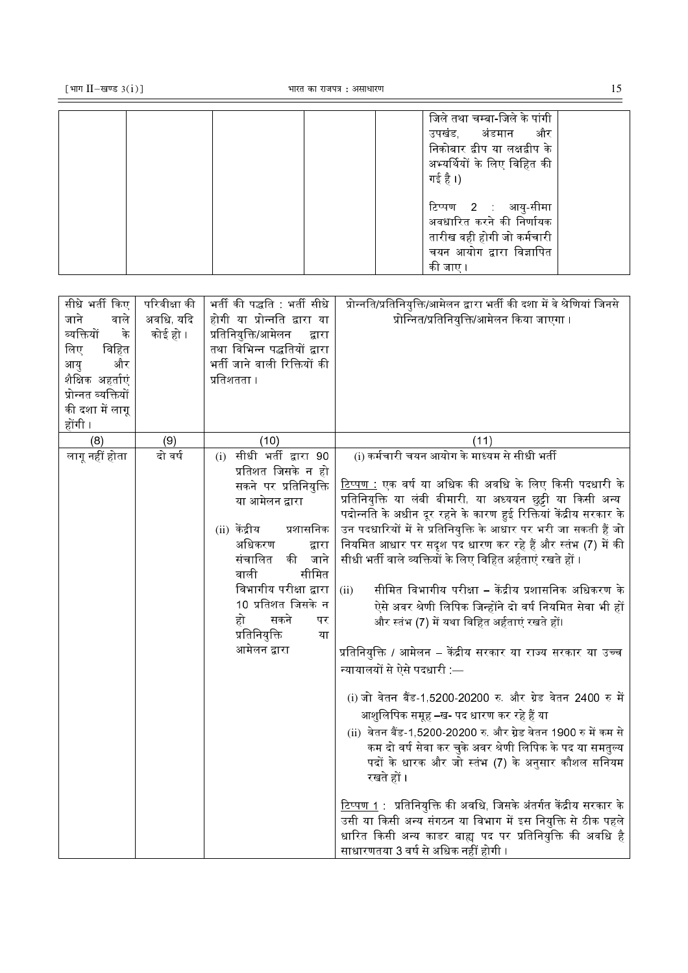| [भाग II-खण्ड $3(i)$ ] | भारत का राजपत्र : असाधारण |                                                                                                                                  |
|-----------------------|---------------------------|----------------------------------------------------------------------------------------------------------------------------------|
|                       |                           | जिले तथा चम्बा-जिले के पांगी<br>और<br>अंडमान<br>उपखड<br>निकोबार द्वीप या लक्षद्वीप के<br>अभ्यर्थियों के लिए विहित की<br>गई है ।) |

|  |  |  | टिप्पण 2 : आयु-सीमा                                                                                                         |  |
|--|--|--|-----------------------------------------------------------------------------------------------------------------------------|--|
|  |  |  | अवधारित करने की निर्णायक                                                                                                    |  |
|  |  |  | तारीख वही होगी जो कर्मचारी                                                                                                  |  |
|  |  |  | चयन आयोग द्वारा विज्ञापित                                                                                                   |  |
|  |  |  | की जाए                                                                                                                      |  |
|  |  |  |                                                                                                                             |  |
|  |  |  |                                                                                                                             |  |
|  |  |  | गीशे भर्ती दिन   गरितीश्रा की   भर्ती की गावति   भारी गीशे   गोटवति/गतितिगति/शागेन्न वारा भर्ती की वशा में वे शेणिगां विवरो |  |

| सीधे भर्ती किए<br>जाने<br>वाले<br>व्यक्तियों<br>के<br>विहित<br>लिए<br>और<br>आयु<br>शैक्षिक अहर्ताएं<br>प्रोन्नत व्यक्तियों<br>की दशा में लागू<br>होंगी | परिवीक्षा की<br>अवधि, यदि<br>कोई हो । | भर्ती की पद्धति : भर्ती सीधे<br>होगी या प्रोन्नति द्वारा या<br>प्रतिनियुक्ति/आमेलन<br>द्वारा<br>तथा विभिन्न पद्धतियों द्वारा<br>भर्ती जाने वाली रिक्तियों की<br>प्रतिशतता ।                                                                                                                          | प्रोन्नति/प्रतिनियुक्ति/आमेलन द्वारा भर्ती की दशा में वे श्रेणियां जिनसे<br>प्रोन्नित/प्रतिनियुक्ति/आमेलन किया जाएगा ।                                                                                                                                                                                                                                                                                                                                                                                                                                                                                                                                                                                                                                                                                                                                                                                                                                                                                                                                                                                                                                                                                                                                                                           |
|--------------------------------------------------------------------------------------------------------------------------------------------------------|---------------------------------------|------------------------------------------------------------------------------------------------------------------------------------------------------------------------------------------------------------------------------------------------------------------------------------------------------|--------------------------------------------------------------------------------------------------------------------------------------------------------------------------------------------------------------------------------------------------------------------------------------------------------------------------------------------------------------------------------------------------------------------------------------------------------------------------------------------------------------------------------------------------------------------------------------------------------------------------------------------------------------------------------------------------------------------------------------------------------------------------------------------------------------------------------------------------------------------------------------------------------------------------------------------------------------------------------------------------------------------------------------------------------------------------------------------------------------------------------------------------------------------------------------------------------------------------------------------------------------------------------------------------|
| (8)                                                                                                                                                    | (9)                                   | (10)                                                                                                                                                                                                                                                                                                 | (11)                                                                                                                                                                                                                                                                                                                                                                                                                                                                                                                                                                                                                                                                                                                                                                                                                                                                                                                                                                                                                                                                                                                                                                                                                                                                                             |
| लागू नहीं होता                                                                                                                                         | दो वर्ष                               | सीधी भर्ती द्वारा 90<br>(i)<br>प्रतिशत जिसके न हो<br>सकने पर प्रतिनियुक्ति<br>या आमेलन द्वारा<br>(ii) केंद्रीय<br>प्रशासनिक<br>अधिकरण<br>द्वारा<br>संचालित<br>की<br>जाने<br>सीमित<br>वाली<br>विभागीय परीक्षा द्वारा<br>10 प्रतिशत जिसके न<br>हो<br>सकने<br>पर<br>प्रतिनियुक्ति<br>या<br>आमेलन द्वारा | <u>(i) कर्मचारी चयन आयोग के मा</u> ध्यम से सीधी भर्ती<br><u>टिप्पण :</u> एक वर्ष या अधिक की अवधि के लिए किसी पदधारी के<br>प्रतिनियुक्ति या लंबी बीमारी, या अध्ययन छुट्टी या किसी अन्य<br>पदोन्नति के अधीन दूर रहने के कारण हुई रिक्तियां केंद्रीय सरकार के<br>उन पदधारियों में से प्रतिनियुक्ति के आधार पर भरी जा सकती हैं जो<br>नियमित आधार पर सदृश पद धारण कर रहे हैं और स्तंभ (7) में की<br>सीधी भर्ती वाले व्यक्तियों के लिए विहित अर्हताएं रखते हों<br>सीमित विभागीय परीक्षा – केंद्रीय प्रशासनिक अधिकरण के<br>(ii)<br>ऐसे अवर श्रेणी लिपिक जिन्होंने दो वर्ष नियमित सेवा भी हों<br>और स्तंभ (7) में यथा विहित अर्हताएं रखते हों।<br>प्रतिनियुक्ति / आमेलन – केंद्रीय सरकार या राज्य सरकार या उच्च<br>न्यायालयों से ऐसे पदधारी —<br>(i) जो वेतन बैंड-1,5200-20200 रु. और ग्रेड वेतन 2400 रु में<br>आशुलिपिक समूह –ख- पद धारण कर रहे हैं या<br>(ii) वेतन बैंड-1,5200-20200 रु. और ग्रेड वेतन 1900 रु में कम से<br>कम दो वर्ष सेवा कर चुके अवर श्रेणी लिपिक के पद या समतुल्य<br>पदों के धारक और जो स्तंभ (7) के अनुसार कौशल सनियम<br>रखते हों ।<br><u>टिप्पण 1</u> : प्रतिनियुक्ति की अवधि, जिसके अंतर्गत केंद्रीय सरकार के<br>उसी या किसी अन्य संगठन या विभाग में इस नियुक्ति से ठीक पहले<br>धारित किसी अन्य काडर बाह्य पद पर प्रतिनियुक्ति की अवधि है<br>साधारणतया 3 वर्ष से अधिक नहीं होगी |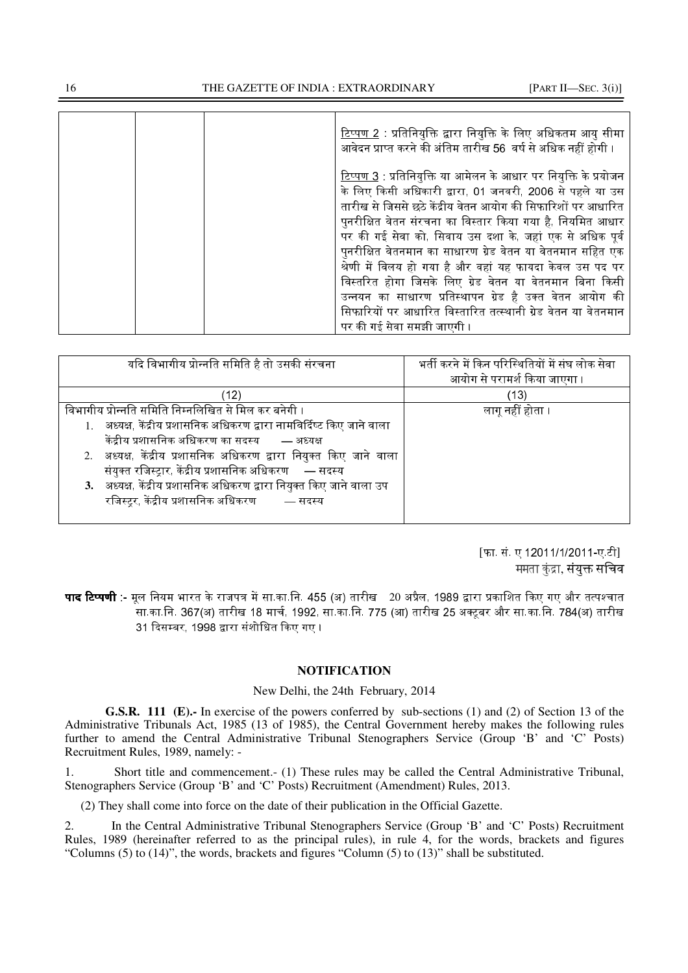|  | <u>टिप्पण 2</u> : प्रतिनियुक्ति द्वारा नियुक्ति के लिए अधिकतम आयु सीमा<br>आवेदन प्राप्त करने की अंतिम तारीख 56 वर्ष से अधिक नहीं होगी ।                                                                                                                                                                                                                                                                                                                                                                                                                                                                                                        |
|--|------------------------------------------------------------------------------------------------------------------------------------------------------------------------------------------------------------------------------------------------------------------------------------------------------------------------------------------------------------------------------------------------------------------------------------------------------------------------------------------------------------------------------------------------------------------------------------------------------------------------------------------------|
|  | <u>टिप्पण 3</u> : प्रतिनियुक्ति या आमेलन के आधार पर नियुक्ति के प्रयोजन<br>के लिए किसी अधिकारी द्वारा, 01 जनवरी, 2006 से पहले या उस<br>तारीख से जिससे छठे केंद्रीय वेतन आयोग की सिफारिशों पर आधारित<br>पुनरीक्षित वेतन संरचना का विस्तार किया गया है, नियमित आधार<br>पर की गई सेवा को, सिवाय उस दशा के, जहां एक से अधिक पूर्व<br>पुनरीक्षित वेतनमान का साधारण ग्रेड वेतन या वेतनमान सहित एक<br>श्रेणी में विलय हो गया है और वहां यह फायदा केवल उस पद पर<br>विस्तरित होगा जिसके लिए ग्रेड वेतन या वेतनमान बिना किसी<br>उन्नयन का साधारण प्रतिस्थापन ग्रेड है उक्त वेतन आयोग की<br>सिफारियों पर आधारित विस्तारित तत्स्थानी ग्रेड वेतन या वेतनमान |
|  | पर की गई सेवा समझी जाएगी ।                                                                                                                                                                                                                                                                                                                                                                                                                                                                                                                                                                                                                     |

| यदि विभागीय प्रोन्नति समिति है तो उसकी संरचना                           | भर्ती करने में किन परिस्थितियों में संघ लोक सेवा |
|-------------------------------------------------------------------------|--------------------------------------------------|
|                                                                         | आयोग से परामर्श किया जाएगा ।                     |
| ็12)                                                                    | (13)                                             |
| विभागीय प्रोन्नति समिति निम्नलिखित से मिल कर बनेगी ।                    | लागू नहीं होता ।                                 |
| 1. अध्यक्ष, केंद्रीय प्रशासनिक अधिकरण द्वारा नामविर्दिष्ट किए जाने वाला |                                                  |
| केंद्रीय प्रशासनिक अधिकरण का सदस्य       — अध्यक्ष                      |                                                  |
| 2. अध्यक्ष, केंद्रीय प्रशासनिक अधिकरण द्वारा नियुक्त किए जाने वाला      |                                                  |
| संयुक्त रजिस्ट्रार, केंद्रीय प्रशासनिक अधिकरण — सदस्य                   |                                                  |
| 3. अध्यक्ष, केंद्रीय प्रशासनिक अधिकरण द्वारा नियुक्त किए जाने वाला उप   |                                                  |
| रजिस्ट्र केंद्रीय प्रशासनिक अधिकरण        — सदस्य                       |                                                  |
|                                                                         |                                                  |

[फा. सं. ए 12011/1/2011-ए.टी] ममता कंद्रा, संयक्त सचिव

-णी :- 83" 8 !18/.का.िन. 455 (अ) तारीख 20 #-&", 1989 <-% 
MT@त सा.का.नि. 367(अ) तारीख 18 मार्च, 1992, सा.का.नि. 775 (आ) तारीख 25 अक्टूबर और सा.का.नि. 784(अ) तारीख 31 दिसम्बर, 1998 द्वारा संशोधित किए गए ।

# **NOTIFICATION**

# New Delhi, the 24th February, 2014

**G.S.R. 111 (E).-** In exercise of the powers conferred by sub-sections (1) and (2) of Section 13 of the Administrative Tribunals Act, 1985 (13 of 1985), the Central Government hereby makes the following rules further to amend the Central Administrative Tribunal Stenographers Service (Group 'B' and 'C' Posts) Recruitment Rules, 1989, namely: -

1. Short title and commencement.- (1) These rules may be called the Central Administrative Tribunal, Stenographers Service (Group 'B' and 'C' Posts) Recruitment (Amendment) Rules, 2013.

(2) They shall come into force on the date of their publication in the Official Gazette.

2. In the Central Administrative Tribunal Stenographers Service (Group 'B' and 'C' Posts) Recruitment Rules, 1989 (hereinafter referred to as the principal rules), in rule 4, for the words, brackets and figures "Columns (5) to (14)", the words, brackets and figures "Column (5) to (13)" shall be substituted.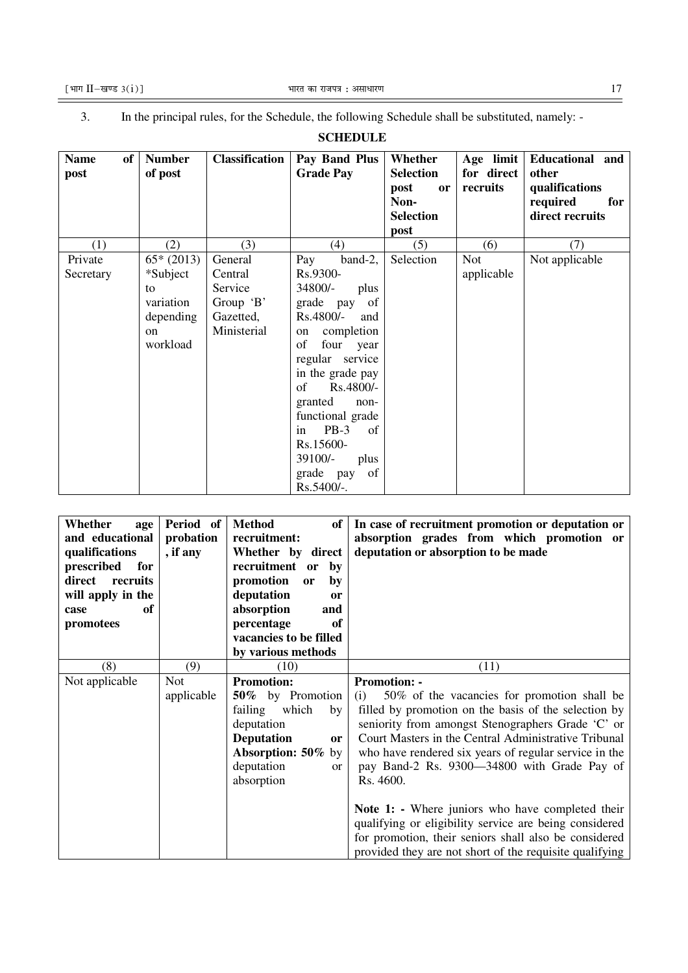$\equiv$ 

3. In the principal rules, for the Schedule, the following Schedule shall be substituted, namely: -

#### **SCHEDULE Name of post Number of post Classification Pay Band Plus Grade Pay Whether Selection post or Non-Selection post Age limit for direct recruits Educational and other qualifications required for direct recruits**  (1)  $(2)$   $(3)$   $(4)$   $(5)$   $(6)$   $(7)$ Private **Secretary**  $65*(2013)$ \*Subject to variation depending on workload **General** Central Service Group 'B' Gazetted, Ministerial Pay band-2, Rs.9300- 34800/- plus grade pay of Rs.4800/- and on completion of four year regular service in the grade pay<br>of Rs.4800/- $Rs.4800/$ granted nonfunctional grade in PB-3 of Rs.15600- 39100/- plus grade pay of Rs.5400/-. Selection Not applicable Not applicable

| Whether<br>age<br>and educational<br>qualifications<br>for<br>prescribed<br>direct<br>recruits<br>will apply in the<br>оf<br>case<br>promotees | Period of<br>probation<br>, if any | <b>Method</b><br>of<br>recruitment:<br>Whether by direct<br>recruitment or<br>by<br>promotion<br>by<br>or<br>deputation<br>or<br>absorption<br>and<br>percentage<br>of<br>vacancies to be filled<br>by various methods | In case of recruitment promotion or deputation or<br>absorption grades from which promotion or<br>deputation or absorption to be made                                                                                                                                                                                                                                                                                                                                                                                                                                                                 |
|------------------------------------------------------------------------------------------------------------------------------------------------|------------------------------------|------------------------------------------------------------------------------------------------------------------------------------------------------------------------------------------------------------------------|-------------------------------------------------------------------------------------------------------------------------------------------------------------------------------------------------------------------------------------------------------------------------------------------------------------------------------------------------------------------------------------------------------------------------------------------------------------------------------------------------------------------------------------------------------------------------------------------------------|
| (8)                                                                                                                                            | (9)                                | (10)                                                                                                                                                                                                                   | (11)                                                                                                                                                                                                                                                                                                                                                                                                                                                                                                                                                                                                  |
| Not applicable                                                                                                                                 | <b>Not</b><br>applicable           | <b>Promotion:</b><br>50% by Promotion<br>failing<br>which<br>by<br>deputation<br><b>Deputation</b><br><b>or</b><br>Absorption: 50% by<br>deputation<br><sub>or</sub><br>absorption                                     | <b>Promotion: -</b><br>50% of the vacancies for promotion shall be<br>(i)<br>filled by promotion on the basis of the selection by<br>seniority from amongst Stenographers Grade 'C' or<br>Court Masters in the Central Administrative Tribunal<br>who have rendered six years of regular service in the<br>pay Band-2 Rs. 9300—34800 with Grade Pay of<br>Rs. 4600.<br>Note 1: - Where juniors who have completed their<br>qualifying or eligibility service are being considered<br>for promotion, their seniors shall also be considered<br>provided they are not short of the requisite qualifying |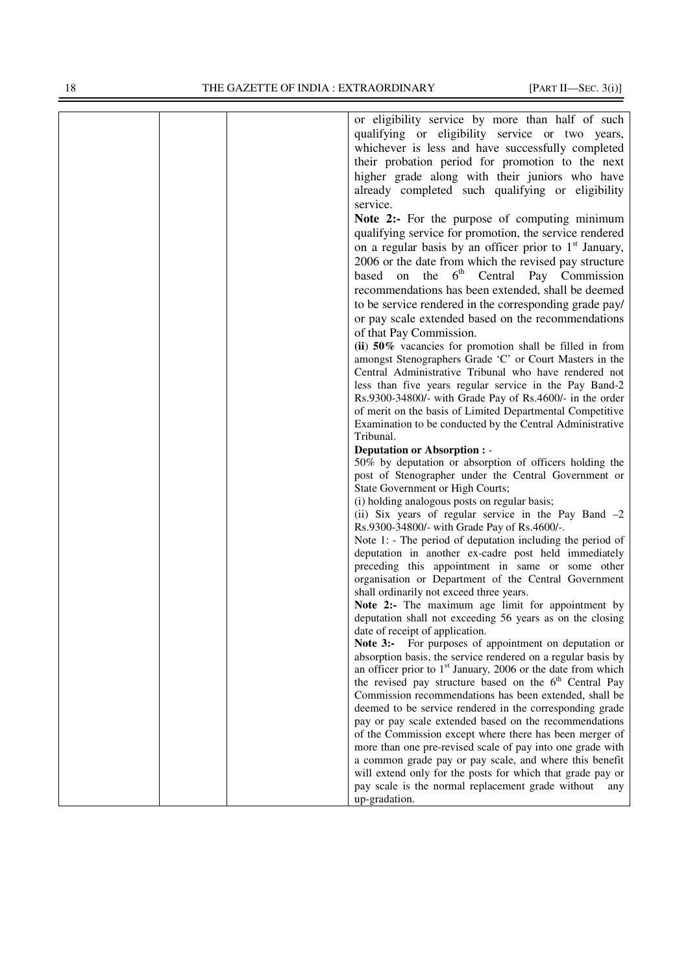| or eligibility service by more than half of such                                                                           |
|----------------------------------------------------------------------------------------------------------------------------|
| qualifying or eligibility service or two years,                                                                            |
| whichever is less and have successfully completed                                                                          |
| their probation period for promotion to the next                                                                           |
| higher grade along with their juniors who have                                                                             |
| already completed such qualifying or eligibility                                                                           |
| service.                                                                                                                   |
| Note 2:- For the purpose of computing minimum                                                                              |
| qualifying service for promotion, the service rendered                                                                     |
|                                                                                                                            |
| on a regular basis by an officer prior to $1st$ January,                                                                   |
| 2006 or the date from which the revised pay structure                                                                      |
| on the 6 <sup>th</sup> Central Pay Commission<br>based                                                                     |
| recommendations has been extended, shall be deemed                                                                         |
| to be service rendered in the corresponding grade pay/                                                                     |
| or pay scale extended based on the recommendations                                                                         |
| of that Pay Commission.                                                                                                    |
| (ii) $50\%$ vacancies for promotion shall be filled in from                                                                |
| amongst Stenographers Grade 'C' or Court Masters in the                                                                    |
| Central Administrative Tribunal who have rendered not                                                                      |
| less than five years regular service in the Pay Band-2                                                                     |
| Rs.9300-34800/- with Grade Pay of Rs.4600/- in the order                                                                   |
| of merit on the basis of Limited Departmental Competitive                                                                  |
| Examination to be conducted by the Central Administrative                                                                  |
| Tribunal.                                                                                                                  |
| <b>Deputation or Absorption : -</b><br>50% by deputation or absorption of officers holding the                             |
| post of Stenographer under the Central Government or                                                                       |
| State Government or High Courts;                                                                                           |
| (i) holding analogous posts on regular basis;                                                                              |
| (ii) Six years of regular service in the Pay Band $-2$                                                                     |
| Rs.9300-34800/- with Grade Pay of Rs.4600/-.                                                                               |
| Note 1: - The period of deputation including the period of                                                                 |
| deputation in another ex-cadre post held immediately                                                                       |
| preceding this appointment in same or some other                                                                           |
| organisation or Department of the Central Government                                                                       |
| shall ordinarily not exceed three years.                                                                                   |
| Note 2:- The maximum age limit for appointment by                                                                          |
| deputation shall not exceeding 56 years as on the closing                                                                  |
| date of receipt of application.                                                                                            |
| Note 3:- For purposes of appointment on deputation or                                                                      |
| absorption basis, the service rendered on a regular basis by                                                               |
| an officer prior to $1st$ January, 2006 or the date from which<br>the revised pay structure based on the $6th$ Central Pay |
| Commission recommendations has been extended, shall be                                                                     |
| deemed to be service rendered in the corresponding grade                                                                   |
| pay or pay scale extended based on the recommendations                                                                     |
| of the Commission except where there has been merger of                                                                    |
| more than one pre-revised scale of pay into one grade with                                                                 |
| a common grade pay or pay scale, and where this benefit                                                                    |
| will extend only for the posts for which that grade pay or                                                                 |
| pay scale is the normal replacement grade without<br>any                                                                   |
| up-gradation.                                                                                                              |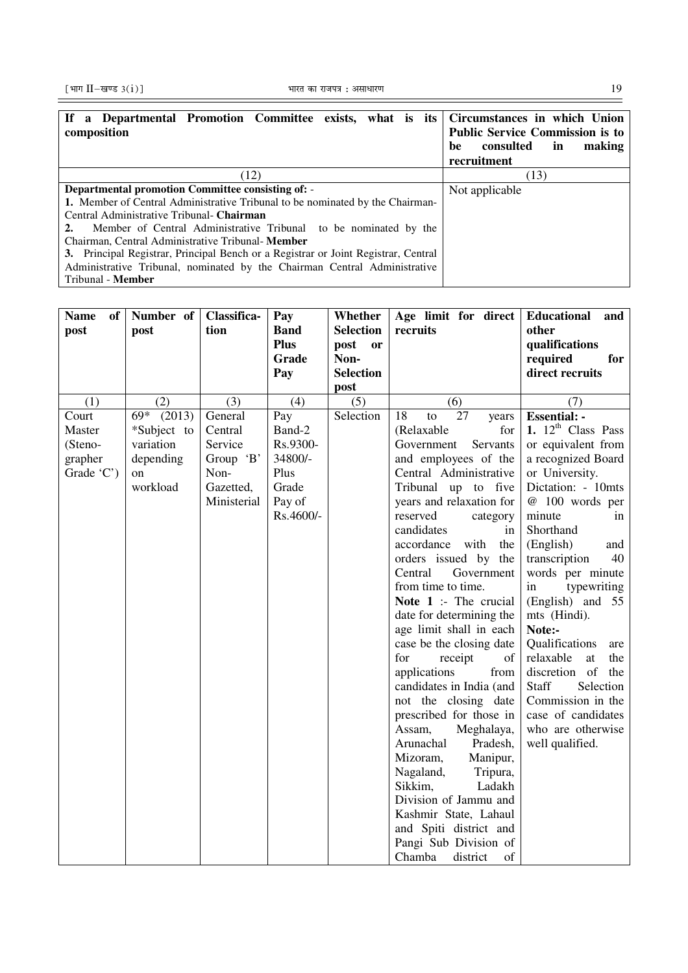| If a Departmental Promotion Committee exists, what is its Circumstances in which Union<br>composition | <b>Public Service Commission is to</b> |
|-------------------------------------------------------------------------------------------------------|----------------------------------------|
|                                                                                                       | in<br>consulted<br>making<br>be        |
|                                                                                                       | recruitment                            |
| (12)                                                                                                  | (13)                                   |
| <b>Departmental promotion Committee consisting of: -</b>                                              | Not applicable                         |
| <b>1.</b> Member of Central Administrative Tribunal to be nominated by the Chairman-                  |                                        |
| Central Administrative Tribunal- Chairman                                                             |                                        |
| Member of Central Administrative Tribunal to be nominated by the                                      |                                        |
| Chairman, Central Administrative Tribunal-Member                                                      |                                        |
| 3. Principal Registrar, Principal Bench or a Registrar or Joint Registrar, Central                    |                                        |
| Administrative Tribunal, nominated by the Chairman Central Administrative                             |                                        |
| Tribunal - <b>Member</b>                                                                              |                                        |

| <b>Name</b><br>of <sub>1</sub><br>post | Number of<br>post | Classifica-<br>tion | Pay<br><b>Band</b><br><b>Plus</b><br>Grade<br>Pay | Whether<br><b>Selection</b><br>post<br><sub>or</sub><br>Non-<br><b>Selection</b><br>post | Age limit for direct<br>recruits                 | Educational<br>and<br>other<br>qualifications<br>required<br>for<br>direct recruits |
|----------------------------------------|-------------------|---------------------|---------------------------------------------------|------------------------------------------------------------------------------------------|--------------------------------------------------|-------------------------------------------------------------------------------------|
| (1)                                    | (2)               | (3)                 | (4)                                               | (5)                                                                                      | (6)                                              | (7)                                                                                 |
| Court                                  | 69* (2013)        | General             | Pay                                               | Selection                                                                                | 18<br>27<br>to<br>years                          | <b>Essential: -</b>                                                                 |
| Master                                 | *Subject to       | Central             | Band-2                                            |                                                                                          | (Relaxable<br>for                                | 1. $12th$ Class Pass                                                                |
| (Steno-                                | variation         | Service             | Rs.9300-                                          |                                                                                          | Servants<br>Government                           | or equivalent from                                                                  |
| grapher                                | depending         | Group 'B'           | 34800/-                                           |                                                                                          | and employees of the                             | a recognized Board                                                                  |
| Grade 'C')                             | on                | Non-                | Plus                                              |                                                                                          | Central Administrative                           | or University.                                                                      |
|                                        | workload          | Gazetted,           | Grade                                             |                                                                                          | Tribunal up to five                              | Dictation: - 10mts                                                                  |
|                                        |                   | Ministerial         | Pay of                                            |                                                                                          | years and relaxation for                         | @ 100 words per                                                                     |
|                                        |                   |                     | Rs.4600/-                                         |                                                                                          | reserved<br>category                             | minute<br>in                                                                        |
|                                        |                   |                     |                                                   |                                                                                          | candidates<br>in                                 | Shorthand                                                                           |
|                                        |                   |                     |                                                   |                                                                                          | accordance<br>with<br>the                        | (English)<br>and                                                                    |
|                                        |                   |                     |                                                   |                                                                                          | orders issued by the                             | transcription<br>40                                                                 |
|                                        |                   |                     |                                                   |                                                                                          | Central<br>Government                            | words per minute                                                                    |
|                                        |                   |                     |                                                   |                                                                                          | from time to time.                               | in<br>typewriting                                                                   |
|                                        |                   |                     |                                                   |                                                                                          | Note 1 :- The crucial                            | (English) and 55                                                                    |
|                                        |                   |                     |                                                   |                                                                                          | date for determining the                         | mts (Hindi).                                                                        |
|                                        |                   |                     |                                                   |                                                                                          | age limit shall in each                          | Note:-                                                                              |
|                                        |                   |                     |                                                   |                                                                                          | case be the closing date                         | Qualifications<br>are                                                               |
|                                        |                   |                     |                                                   |                                                                                          | for<br>receipt<br>of                             | relaxable<br>at<br>the                                                              |
|                                        |                   |                     |                                                   |                                                                                          | applications<br>from                             | discretion of<br>the<br>Staff<br>Selection                                          |
|                                        |                   |                     |                                                   |                                                                                          | candidates in India (and<br>not the closing date | Commission in the                                                                   |
|                                        |                   |                     |                                                   |                                                                                          | prescribed for those in                          | case of candidates                                                                  |
|                                        |                   |                     |                                                   |                                                                                          | Assam,<br>Meghalaya,                             | who are otherwise                                                                   |
|                                        |                   |                     |                                                   |                                                                                          | Arunachal<br>Pradesh,                            | well qualified.                                                                     |
|                                        |                   |                     |                                                   |                                                                                          | Mizoram,<br>Manipur,                             |                                                                                     |
|                                        |                   |                     |                                                   |                                                                                          | Nagaland,<br>Tripura,                            |                                                                                     |
|                                        |                   |                     |                                                   |                                                                                          | Ladakh<br>Sikkim,                                |                                                                                     |
|                                        |                   |                     |                                                   |                                                                                          | Division of Jammu and                            |                                                                                     |
|                                        |                   |                     |                                                   |                                                                                          | Kashmir State, Lahaul                            |                                                                                     |
|                                        |                   |                     |                                                   |                                                                                          | and Spiti district and                           |                                                                                     |
|                                        |                   |                     |                                                   |                                                                                          | Pangi Sub Division of                            |                                                                                     |
|                                        |                   |                     |                                                   |                                                                                          | Chamba<br>of<br>district                         |                                                                                     |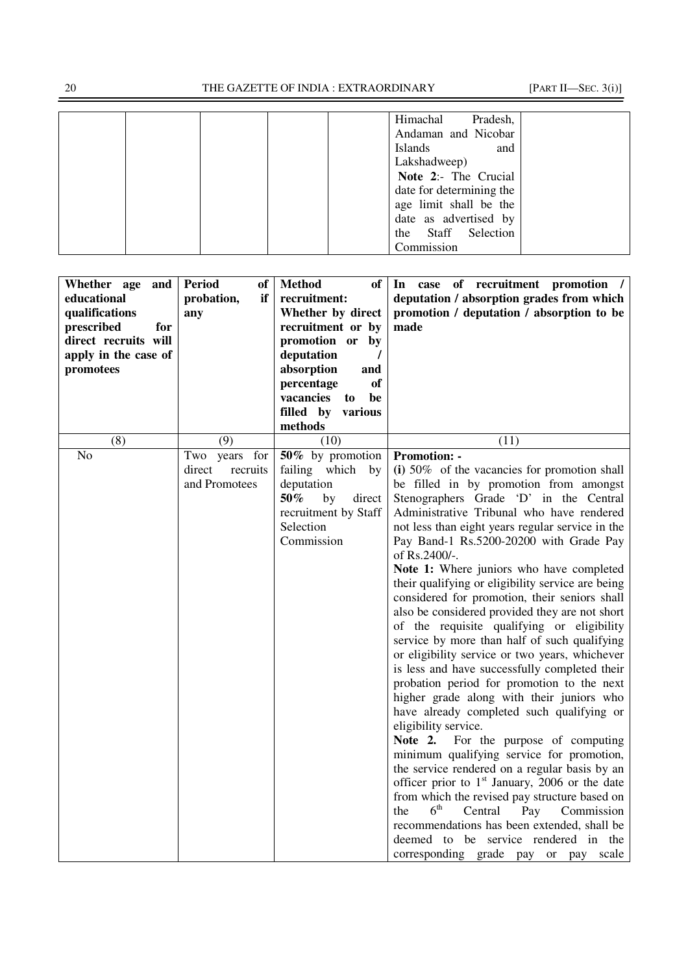|  |  | Himachal       | Pradesh,                 |  |
|--|--|----------------|--------------------------|--|
|  |  |                | Andaman and Nicobar      |  |
|  |  | <b>Islands</b> | and                      |  |
|  |  | Lakshadweep)   |                          |  |
|  |  |                | Note 2:- The Crucial     |  |
|  |  |                | date for determining the |  |
|  |  |                | age limit shall be the   |  |
|  |  |                | date as advertised by    |  |
|  |  |                | the Staff Selection      |  |
|  |  | Commission     |                          |  |

| Whether age and                           | Period<br>of       | <b>Method</b><br>of                  | In case of recruitment promotion /                                                          |
|-------------------------------------------|--------------------|--------------------------------------|---------------------------------------------------------------------------------------------|
| educational                               | if<br>probation,   | recruitment:                         | deputation / absorption grades from which                                                   |
| qualifications                            | any                | Whether by direct                    | promotion / deputation / absorption to be<br>made                                           |
| prescribed<br>for<br>direct recruits will |                    | recruitment or by<br>promotion or by |                                                                                             |
| apply in the case of                      |                    | deputation                           |                                                                                             |
| promotees                                 |                    | absorption<br>and                    |                                                                                             |
|                                           |                    | of<br>percentage                     |                                                                                             |
|                                           |                    | vacancies to<br>be                   |                                                                                             |
|                                           |                    | filled by various                    |                                                                                             |
|                                           |                    | methods                              |                                                                                             |
| (8)                                       | (9)                | (10)                                 | (11)                                                                                        |
| N <sub>o</sub>                            | Two years for      | 50% by promotion                     | <b>Promotion: -</b>                                                                         |
|                                           | direct<br>recruits | failing which<br>by                  | $(i)$ 50% of the vacancies for promotion shall                                              |
|                                           | and Promotees      | deputation                           | be filled in by promotion from amongst                                                      |
|                                           |                    | $50\%$<br>by<br>direct               | Stenographers Grade 'D' in the Central                                                      |
|                                           |                    | recruitment by Staff<br>Selection    | Administrative Tribunal who have rendered                                                   |
|                                           |                    | Commission                           | not less than eight years regular service in the<br>Pay Band-1 Rs.5200-20200 with Grade Pay |
|                                           |                    |                                      | of Rs.2400/-.                                                                               |
|                                           |                    |                                      | Note 1: Where juniors who have completed                                                    |
|                                           |                    |                                      | their qualifying or eligibility service are being                                           |
|                                           |                    |                                      | considered for promotion, their seniors shall                                               |
|                                           |                    |                                      | also be considered provided they are not short                                              |
|                                           |                    |                                      | of the requisite qualifying or eligibility                                                  |
|                                           |                    |                                      | service by more than half of such qualifying                                                |
|                                           |                    |                                      | or eligibility service or two years, whichever                                              |
|                                           |                    |                                      | is less and have successfully completed their                                               |
|                                           |                    |                                      | probation period for promotion to the next                                                  |
|                                           |                    |                                      | higher grade along with their juniors who                                                   |
|                                           |                    |                                      | have already completed such qualifying or                                                   |
|                                           |                    |                                      | eligibility service.                                                                        |
|                                           |                    |                                      | Note 2.<br>For the purpose of computing                                                     |
|                                           |                    |                                      | minimum qualifying service for promotion,                                                   |
|                                           |                    |                                      | the service rendered on a regular basis by an                                               |
|                                           |                    |                                      | officer prior to $1st$ January, 2006 or the date                                            |
|                                           |                    |                                      | from which the revised pay structure based on                                               |
|                                           |                    |                                      | 6 <sup>th</sup><br>the<br>Central<br>Commission<br>Pay                                      |
|                                           |                    |                                      | recommendations has been extended, shall be                                                 |
|                                           |                    |                                      | deemed to be service rendered in the                                                        |
|                                           |                    |                                      | corresponding grade pay or pay scale                                                        |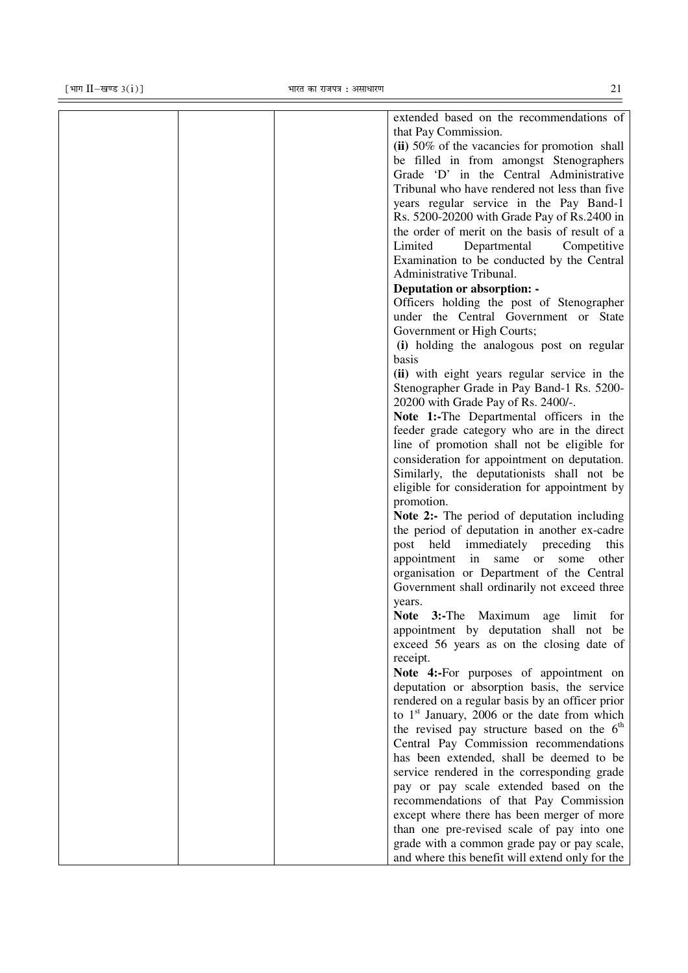|  | extended based on the recommendations of           |
|--|----------------------------------------------------|
|  | that Pay Commission.                               |
|  | (ii) 50% of the vacancies for promotion shall      |
|  | be filled in from amongst Stenographers            |
|  | Grade 'D' in the Central Administrative            |
|  | Tribunal who have rendered not less than five      |
|  | years regular service in the Pay Band-1            |
|  | Rs. 5200-20200 with Grade Pay of Rs.2400 in        |
|  | the order of merit on the basis of result of a     |
|  | Limited<br>Departmental<br>Competitive             |
|  | Examination to be conducted by the Central         |
|  | Administrative Tribunal.                           |
|  | <b>Deputation or absorption: -</b>                 |
|  | Officers holding the post of Stenographer          |
|  | under the Central Government or State              |
|  | Government or High Courts;                         |
|  | (i) holding the analogous post on regular          |
|  | basis                                              |
|  |                                                    |
|  | (ii) with eight years regular service in the       |
|  | Stenographer Grade in Pay Band-1 Rs. 5200-         |
|  | 20200 with Grade Pay of Rs. 2400/-.                |
|  | Note 1:-The Departmental officers in the           |
|  | feeder grade category who are in the direct        |
|  | line of promotion shall not be eligible for        |
|  | consideration for appointment on deputation.       |
|  | Similarly, the deputationists shall not be         |
|  | eligible for consideration for appointment by      |
|  | promotion.                                         |
|  | <b>Note 2:-</b> The period of deputation including |
|  | the period of deputation in another ex-cadre       |
|  | post held immediately preceding<br>this            |
|  | appointment in same<br>or<br>other<br>some         |
|  | organisation or Department of the Central          |
|  | Government shall ordinarily not exceed three       |
|  | years.                                             |
|  | Note 3:-The Maximum age limit for                  |
|  | appointment by deputation shall not be             |
|  | exceed 56 years as on the closing date of          |
|  | receipt.                                           |
|  | Note 4:-For purposes of appointment on             |
|  | deputation or absorption basis, the service        |
|  | rendered on a regular basis by an officer prior    |
|  | to $1st$ January, 2006 or the date from which      |
|  | the revised pay structure based on the $6th$       |
|  | Central Pay Commission recommendations             |
|  | has been extended, shall be deemed to be           |
|  | service rendered in the corresponding grade        |
|  | pay or pay scale extended based on the             |
|  | recommendations of that Pay Commission             |
|  | except where there has been merger of more         |
|  | than one pre-revised scale of pay into one         |
|  | grade with a common grade pay or pay scale,        |
|  | and where this benefit will extend only for the    |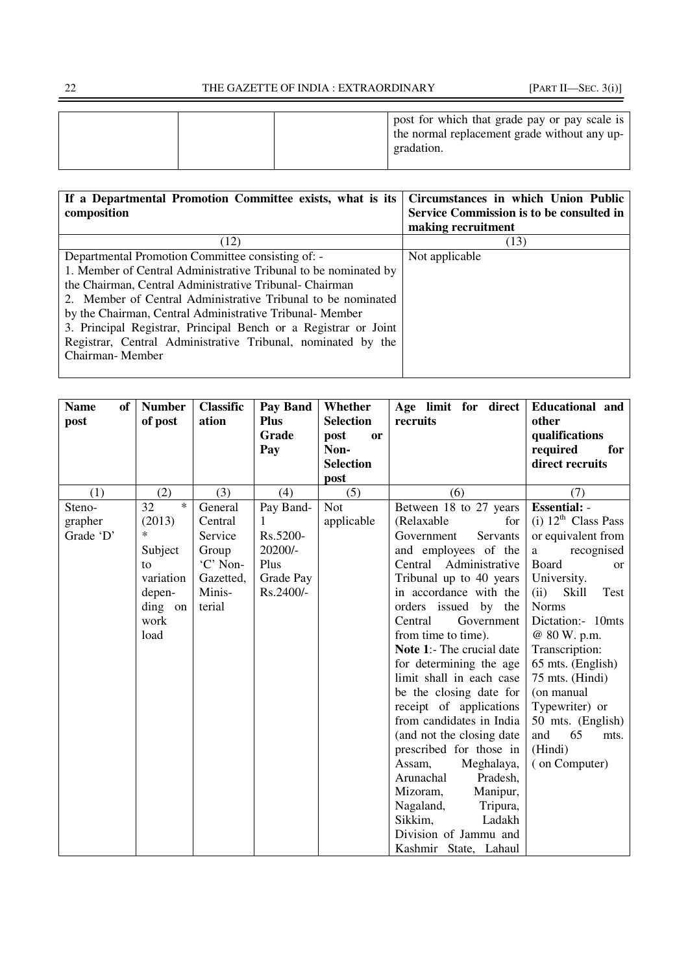| If a Departmental Promotion Committee exists, what is its       | Circumstances in which Union Public      |
|-----------------------------------------------------------------|------------------------------------------|
| composition                                                     | Service Commission is to be consulted in |
|                                                                 | making recruitment                       |
| (12)                                                            | (13)                                     |
| Departmental Promotion Committee consisting of: -               | Not applicable                           |
| 1. Member of Central Administrative Tribunal to be nominated by |                                          |
| the Chairman, Central Administrative Tribunal- Chairman         |                                          |
| 2. Member of Central Administrative Tribunal to be nominated    |                                          |
| by the Chairman, Central Administrative Tribunal-Member         |                                          |
| 3. Principal Registrar, Principal Bench or a Registrar or Joint |                                          |
| Registrar, Central Administrative Tribunal, nominated by the    |                                          |
| Chairman-Member                                                 |                                          |
|                                                                 |                                          |

| <b>Classific</b><br>ation | Pay Band<br><b>Plus</b>                       | Whether<br><b>Selection</b>                           | recruits                                              | Educational and<br>other                                                                                                                                                                                                                                                                                                                                                                                                                                                                                                                                                                 |
|---------------------------|-----------------------------------------------|-------------------------------------------------------|-------------------------------------------------------|------------------------------------------------------------------------------------------------------------------------------------------------------------------------------------------------------------------------------------------------------------------------------------------------------------------------------------------------------------------------------------------------------------------------------------------------------------------------------------------------------------------------------------------------------------------------------------------|
|                           | Pay                                           | Non-                                                  |                                                       | qualifications<br>required<br>for                                                                                                                                                                                                                                                                                                                                                                                                                                                                                                                                                        |
|                           |                                               | <b>Selection</b>                                      |                                                       | direct recruits                                                                                                                                                                                                                                                                                                                                                                                                                                                                                                                                                                          |
|                           |                                               |                                                       |                                                       | (7)                                                                                                                                                                                                                                                                                                                                                                                                                                                                                                                                                                                      |
|                           |                                               |                                                       |                                                       | <b>Essential: -</b>                                                                                                                                                                                                                                                                                                                                                                                                                                                                                                                                                                      |
|                           |                                               |                                                       |                                                       | (i) $12^{\text{th}}$ Class Pass                                                                                                                                                                                                                                                                                                                                                                                                                                                                                                                                                          |
|                           |                                               |                                                       |                                                       | or equivalent from                                                                                                                                                                                                                                                                                                                                                                                                                                                                                                                                                                       |
|                           |                                               |                                                       |                                                       | recognised<br>a                                                                                                                                                                                                                                                                                                                                                                                                                                                                                                                                                                          |
| 'C' Non-                  | Plus                                          |                                                       |                                                       | <b>Board</b><br><sub>or</sub>                                                                                                                                                                                                                                                                                                                                                                                                                                                                                                                                                            |
| Gazetted,                 | Grade Pay                                     |                                                       |                                                       | University.                                                                                                                                                                                                                                                                                                                                                                                                                                                                                                                                                                              |
| Minis-                    | Rs.2400/-                                     |                                                       | in accordance with the                                | (ii)<br>Skill<br>Test                                                                                                                                                                                                                                                                                                                                                                                                                                                                                                                                                                    |
| terial                    |                                               |                                                       | orders issued by the                                  | <b>Norms</b>                                                                                                                                                                                                                                                                                                                                                                                                                                                                                                                                                                             |
|                           |                                               |                                                       | Central<br>Government                                 | Dictation:- 10mts                                                                                                                                                                                                                                                                                                                                                                                                                                                                                                                                                                        |
|                           |                                               |                                                       | from time to time).                                   | @ 80 W. p.m.                                                                                                                                                                                                                                                                                                                                                                                                                                                                                                                                                                             |
|                           |                                               |                                                       |                                                       | Transcription:                                                                                                                                                                                                                                                                                                                                                                                                                                                                                                                                                                           |
|                           |                                               |                                                       |                                                       | 65 mts. (English)                                                                                                                                                                                                                                                                                                                                                                                                                                                                                                                                                                        |
|                           |                                               |                                                       |                                                       | 75 mts. (Hindi)                                                                                                                                                                                                                                                                                                                                                                                                                                                                                                                                                                          |
|                           |                                               |                                                       |                                                       | (on manual                                                                                                                                                                                                                                                                                                                                                                                                                                                                                                                                                                               |
|                           |                                               |                                                       |                                                       | Typewriter) or                                                                                                                                                                                                                                                                                                                                                                                                                                                                                                                                                                           |
|                           |                                               |                                                       |                                                       | 50 mts. (English)                                                                                                                                                                                                                                                                                                                                                                                                                                                                                                                                                                        |
|                           |                                               |                                                       |                                                       | and<br>65<br>mts.                                                                                                                                                                                                                                                                                                                                                                                                                                                                                                                                                                        |
|                           |                                               |                                                       |                                                       | (Hindi)                                                                                                                                                                                                                                                                                                                                                                                                                                                                                                                                                                                  |
|                           |                                               |                                                       |                                                       | (on Computer)                                                                                                                                                                                                                                                                                                                                                                                                                                                                                                                                                                            |
|                           |                                               |                                                       |                                                       |                                                                                                                                                                                                                                                                                                                                                                                                                                                                                                                                                                                          |
|                           |                                               |                                                       |                                                       |                                                                                                                                                                                                                                                                                                                                                                                                                                                                                                                                                                                          |
|                           |                                               |                                                       |                                                       |                                                                                                                                                                                                                                                                                                                                                                                                                                                                                                                                                                                          |
|                           |                                               |                                                       |                                                       |                                                                                                                                                                                                                                                                                                                                                                                                                                                                                                                                                                                          |
|                           |                                               |                                                       |                                                       |                                                                                                                                                                                                                                                                                                                                                                                                                                                                                                                                                                                          |
|                           | (3)<br>General<br>Central<br>Service<br>Group | Grade<br>(4)<br>Pay Band-<br>1<br>Rs.5200-<br>20200/- | post<br>or<br>post<br>(5)<br><b>Not</b><br>applicable | Age limit for direct<br>(6)<br>Between 18 to 27 years<br>(Relaxable<br>for<br>Government<br>Servants<br>and employees of the<br>Central Administrative<br>Tribunal up to 40 years<br>Note 1:- The crucial date<br>for determining the age<br>limit shall in each case<br>be the closing date for<br>receipt of applications<br>from candidates in India<br>(and not the closing date<br>prescribed for those in<br>Assam,<br>Meghalaya,<br>Arunachal<br>Pradesh,<br>Mizoram,<br>Manipur,<br>Nagaland,<br>Tripura,<br>Sikkim,<br>Ladakh<br>Division of Jammu and<br>Kashmir State, Lahaul |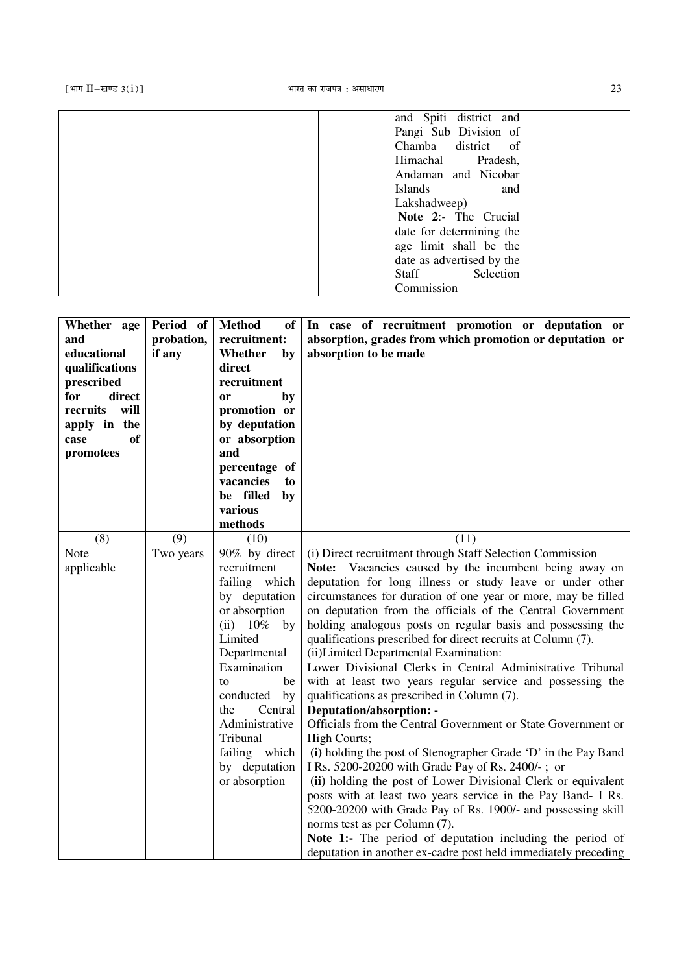| and Spiti district and    |  |
|---------------------------|--|
| Pangi Sub Division of     |  |
| Chamba district of        |  |
| Himachal Pradesh,         |  |
| Andaman and Nicobar       |  |
| Islands<br>and            |  |
| Lakshadweep)              |  |
| Note 2:- The Crucial      |  |
| date for determining the  |  |
| age limit shall be the    |  |
| date as advertised by the |  |
| Staff<br>Selection        |  |
| Commission                |  |
|                           |  |

| Whether age<br>and<br>educational<br>qualifications<br>prescribed<br>direct<br>for | Period of<br>probation,<br>if any | <b>Method</b><br>of<br>recruitment:<br>Whether<br>by<br>direct<br>recruitment<br>by<br><b>or</b> | In case of recruitment promotion or deputation or<br>absorption, grades from which promotion or deputation or<br>absorption to be made |
|------------------------------------------------------------------------------------|-----------------------------------|--------------------------------------------------------------------------------------------------|----------------------------------------------------------------------------------------------------------------------------------------|
| recruits<br>will<br>apply in the                                                   |                                   | promotion or<br>by deputation                                                                    |                                                                                                                                        |
| <b>of</b><br>case                                                                  |                                   | or absorption                                                                                    |                                                                                                                                        |
| promotees                                                                          |                                   | and<br>percentage of                                                                             |                                                                                                                                        |
|                                                                                    |                                   | vacancies<br>to                                                                                  |                                                                                                                                        |
|                                                                                    |                                   | be filled<br>by                                                                                  |                                                                                                                                        |
|                                                                                    |                                   | various<br>methods                                                                               |                                                                                                                                        |
| (8)                                                                                | (9)                               | (10)                                                                                             | (11)                                                                                                                                   |
| Note                                                                               | Two years                         | 90% by direct                                                                                    | (i) Direct recruitment through Staff Selection Commission                                                                              |
| applicable                                                                         |                                   | recruitment                                                                                      | Note: Vacancies caused by the incumbent being away on                                                                                  |
|                                                                                    |                                   | failing which                                                                                    | deputation for long illness or study leave or under other                                                                              |
|                                                                                    |                                   | by deputation                                                                                    | circumstances for duration of one year or more, may be filled                                                                          |
|                                                                                    |                                   | or absorption                                                                                    | on deputation from the officials of the Central Government                                                                             |
|                                                                                    |                                   | $(ii) 10\%$<br>by                                                                                | holding analogous posts on regular basis and possessing the                                                                            |
|                                                                                    |                                   | Limited                                                                                          | qualifications prescribed for direct recruits at Column (7).                                                                           |
|                                                                                    |                                   | Departmental<br>Examination                                                                      | (ii) Limited Departmental Examination:<br>Lower Divisional Clerks in Central Administrative Tribunal                                   |
|                                                                                    |                                   | be<br>to                                                                                         | with at least two years regular service and possessing the                                                                             |
|                                                                                    |                                   | conducted<br>by                                                                                  | qualifications as prescribed in Column (7).                                                                                            |
|                                                                                    |                                   | Central<br>the                                                                                   | Deputation/absorption: -                                                                                                               |
|                                                                                    |                                   | Administrative                                                                                   | Officials from the Central Government or State Government or                                                                           |
|                                                                                    |                                   | Tribunal                                                                                         | High Courts;                                                                                                                           |
|                                                                                    |                                   | failing which                                                                                    | (i) holding the post of Stenographer Grade 'D' in the Pay Band                                                                         |
|                                                                                    |                                   | by deputation                                                                                    | I Rs. 5200-20200 with Grade Pay of Rs. 2400/-; or                                                                                      |
|                                                                                    |                                   | or absorption                                                                                    | (ii) holding the post of Lower Divisional Clerk or equivalent                                                                          |
|                                                                                    |                                   |                                                                                                  | posts with at least two years service in the Pay Band- I Rs.                                                                           |
|                                                                                    |                                   |                                                                                                  | 5200-20200 with Grade Pay of Rs. 1900/- and possessing skill                                                                           |
|                                                                                    |                                   |                                                                                                  | norms test as per Column (7).                                                                                                          |
|                                                                                    |                                   |                                                                                                  | Note 1:- The period of deputation including the period of                                                                              |
|                                                                                    |                                   |                                                                                                  | deputation in another ex-cadre post held immediately preceding                                                                         |